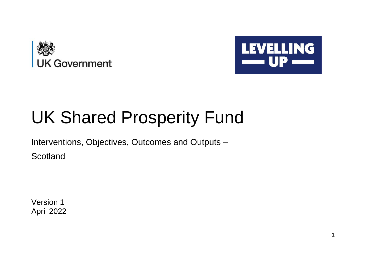



## UK Shared Prosperity Fund

Interventions, Objectives, Outcomes and Outputs –

**Scotland** 

Version 1 April 2022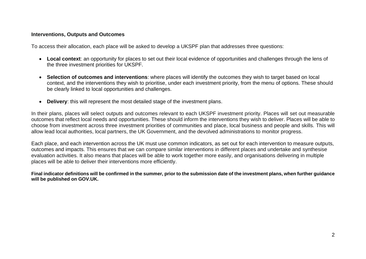## **Interventions, Outputs and Outcomes**

To access their allocation, each place will be asked to develop a UKSPF plan that addresses three questions:

- **Local context**: an opportunity for places to set out their local evidence of opportunities and challenges through the lens of the three investment priorities for UKSPF.
- **Selection of outcomes and interventions**: where places will identify the outcomes they wish to target based on local context, and the interventions they wish to prioritise, under each investment priority, from the menu of options. These should be clearly linked to local opportunities and challenges.
- **Delivery**: this will represent the most detailed stage of the investment plans.

In their plans, places will select outputs and outcomes relevant to each UKSPF investment priority. Places will set out measurable outcomes that reflect local needs and opportunities. These should inform the interventions they wish to deliver. Places will be able to choose from investment across three investment priorities of communities and place, local business and people and skills. This will allow lead local authorities, local partners, the UK Government, and the devolved administrations to monitor progress.

Each place, and each intervention across the UK must use common indicators, as set out for each intervention to measure outputs, outcomes and impacts. This ensures that we can compare similar interventions in different places and undertake and synthesise evaluation activities. It also means that places will be able to work together more easily, and organisations delivering in multiple places will be able to deliver their interventions more efficiently.

**Final indicator definitions will be confirmed in the summer, prior to the submission date of the investment plans, when further guidance will be published on GOV.UK.**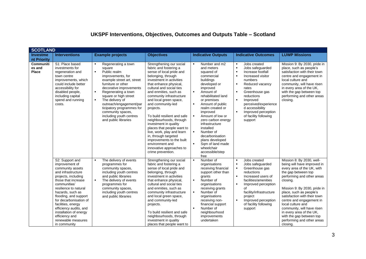## **UKSPF Interventions, Objectives, Outcomes and Outputs Table – Scotland**

| <b>SCOTLAND</b>                            |                                                                                                                                                                                                                                                                                                                                                                             |                                                                                                                                                                                                                                                                                                                                                                                                                              |                                                                                                                                                                                                                                                                                                                                                                                                                                                                                                                                                                                 |                                                                                                                                                                                                                                                                                                                                                                                                                                                                                           |                                                                                                                                                                                                                                                                                                                                                                                                   |                                                                                                                                                                                                                                                                                                                                                                                                                                     |
|--------------------------------------------|-----------------------------------------------------------------------------------------------------------------------------------------------------------------------------------------------------------------------------------------------------------------------------------------------------------------------------------------------------------------------------|------------------------------------------------------------------------------------------------------------------------------------------------------------------------------------------------------------------------------------------------------------------------------------------------------------------------------------------------------------------------------------------------------------------------------|---------------------------------------------------------------------------------------------------------------------------------------------------------------------------------------------------------------------------------------------------------------------------------------------------------------------------------------------------------------------------------------------------------------------------------------------------------------------------------------------------------------------------------------------------------------------------------|-------------------------------------------------------------------------------------------------------------------------------------------------------------------------------------------------------------------------------------------------------------------------------------------------------------------------------------------------------------------------------------------------------------------------------------------------------------------------------------------|---------------------------------------------------------------------------------------------------------------------------------------------------------------------------------------------------------------------------------------------------------------------------------------------------------------------------------------------------------------------------------------------------|-------------------------------------------------------------------------------------------------------------------------------------------------------------------------------------------------------------------------------------------------------------------------------------------------------------------------------------------------------------------------------------------------------------------------------------|
| <b>Investme</b><br>nt Priority             | <b>Interventions</b>                                                                                                                                                                                                                                                                                                                                                        | <b>Example projects</b>                                                                                                                                                                                                                                                                                                                                                                                                      | <b>Objectives</b>                                                                                                                                                                                                                                                                                                                                                                                                                                                                                                                                                               | <b>Indicative Outputs</b>                                                                                                                                                                                                                                                                                                                                                                                                                                                                 | <b>Indicative Outcomes</b>                                                                                                                                                                                                                                                                                                                                                                        | <b>LUWP Missions</b>                                                                                                                                                                                                                                                                                                                                                                                                                |
| <b>Communiti</b><br>es and<br><b>Place</b> | S1: Place based<br>investments for<br>regeneration and<br>town centre<br>improvements, which<br>could include better<br>accessibility for<br>disabled people,<br>including capital<br>spend and running<br>costs.                                                                                                                                                           | Regenerating a town<br>$\blacksquare$<br>square<br>$\blacksquare$<br>Public realm<br>improvements, for<br>example street art, street<br>furniture or other<br>decorative improvements<br>$\blacksquare$<br>Regenerating a town<br>square or high street<br>The delivery of<br>$\blacksquare$<br>outreach/engagement/par<br>ticipatory programmes for<br>community spaces,<br>including youth centres<br>and public libraries | Strengthening our social<br>fabric and fostering a<br>sense of local pride and<br>belonging, through<br>investment in activities<br>that enhance physical,<br>cultural and social ties<br>and enmities, such as<br>community infrastructure<br>and local green space,<br>and community-led<br>projects.<br>To build resilient and safe<br>neighbourhoods, through<br>investment in quality<br>places that people want to<br>live, work, play and learn<br>in, through targeted<br>improvements to the built<br>environment and<br>innovative approaches to<br>crime prevention. | Number and m2<br>$\blacksquare$<br>and meters<br>squared of<br>commercial<br>buildings<br>developed or<br>improved<br>$\blacksquare$<br>Amount of<br>rehabilitated land<br>or premises<br>$\blacksquare$<br>Amount of public<br>realm created or<br>improved<br>$\blacksquare$<br>Amount of low or<br>zero carbon energy<br>infrastructure<br>installed<br>$\blacksquare$<br>Number of<br>decarbonisation<br>plans developed<br>Sqm of land made<br>wheelchair<br>accessible/step<br>free | Jobs created<br>$\blacksquare$<br>Jobs safeguarded<br>$\blacksquare$<br>Increase footfall<br>Increased visitor<br>$\blacksquare$<br>numbers<br>$\blacksquare$<br>Reduced vacancy<br>rates<br>$\blacksquare$<br>Greenhouse gas<br>reductions<br>$\blacksquare$<br>Improved<br>perceived/experience<br>d accessibility<br>Improved perception<br>$\blacksquare$<br>of facility following<br>support | Mission 9: By 2030, pride in<br>place, such as people's<br>satisfaction with their town<br>centre and engagement in<br>local culture and<br>community, will have risen<br>in every area of the UK.<br>with the gap between top<br>performing and other areas<br>closing.                                                                                                                                                            |
|                                            | S2: Support and<br>improvement of<br>community assets<br>and infrastructure<br>projects, including<br>those that increase<br>communities'<br>resilience to natural<br>hazards, such as<br>flooding, and support<br>for decarbonisation of<br>facilities, energy<br>efficiency audits, and<br>installation of energy<br>efficiency and<br>renewable measures<br>in community | The delivery of events<br>$\blacksquare$<br>programmes for<br>community spaces,<br>including youth centres<br>and public libraries<br>$\blacksquare$<br>The delivery of events<br>programmes for<br>community spaces,<br>including youth centres<br>and public libraries                                                                                                                                                     | Strengthening our social<br>fabric and fostering a<br>sense of local pride and<br>belonging, through<br>investment in activities<br>that enhance physical,<br>cultural and social ties<br>and enmities, such as<br>community infrastructure<br>and local green space,<br>and community-led<br>projects.<br>To build resilient and safe<br>neighbourhoods, through<br>investment in quality<br>places that people want to                                                                                                                                                        | $\blacksquare$<br>Number of<br>organisations<br>receiving financial<br>support other than<br>grants<br>$\blacksquare$<br>Number of<br>organisations<br>receiving grants<br>$\blacksquare$<br>Number of<br>organisations<br>receiving non-<br>financial support<br>Number of<br>neighbourhood<br>improvements<br>undertaken                                                                                                                                                                | Jobs created<br>$\blacksquare$<br>Jobs safeguarded<br>$\blacksquare$<br>$\blacksquare$<br>Greenhouse gas<br>reductions<br>$\blacksquare$<br>Increased users of<br>facilities/amenities<br>Improved perception<br>$\blacksquare$<br>Ωf<br>facility/infrastructure<br>project<br>Improved perception<br>$\blacksquare$<br>of facility following<br>support                                          | Mission 8: By 2030, well-<br>being will have improved in<br>every area of the UK, with<br>the gap between top<br>performing and other areas<br>closing.<br>Mission 9: By 2030, pride in<br>place, such as people's<br>satisfaction with their town<br>centre and engagement in<br>local culture and<br>community, will have risen<br>in every area of the UK.<br>with the gap between top<br>performing and other areas<br>closing. |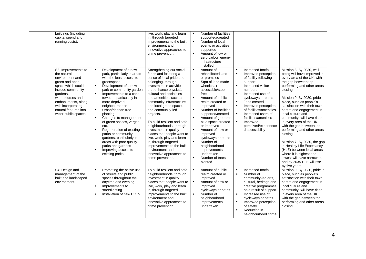| buildings (including<br>capital spend and<br>running costs).                                                                                                                                                                                   |                                                                                                                                                                                                                                                                                                                                                                                                                                                                                                                                                                                                                               | live, work, play and learn<br>in, through targeted<br>improvements to the built<br>environment and<br>innovative approaches to<br>crime prevention.                                                                                                                                                                                                                                                                                                                                                                                                                              | $\blacksquare$<br>$\blacksquare$<br>$\blacksquare$                                                                                           | Number of facilities<br>supported/created<br>Number of local<br>events or activities<br>supported<br>Amount of low or<br>zero carbon energy<br>infrastructure<br>installed                                                                                                                                                                                                                                              |                                                                                                                                         |                                                                                                                                                                                                                                                                                                                                |                                                                                                                                                                                                                                                                                                                                                                                                                                                                                                                                                                                                                                      |
|------------------------------------------------------------------------------------------------------------------------------------------------------------------------------------------------------------------------------------------------|-------------------------------------------------------------------------------------------------------------------------------------------------------------------------------------------------------------------------------------------------------------------------------------------------------------------------------------------------------------------------------------------------------------------------------------------------------------------------------------------------------------------------------------------------------------------------------------------------------------------------------|----------------------------------------------------------------------------------------------------------------------------------------------------------------------------------------------------------------------------------------------------------------------------------------------------------------------------------------------------------------------------------------------------------------------------------------------------------------------------------------------------------------------------------------------------------------------------------|----------------------------------------------------------------------------------------------------------------------------------------------|-------------------------------------------------------------------------------------------------------------------------------------------------------------------------------------------------------------------------------------------------------------------------------------------------------------------------------------------------------------------------------------------------------------------------|-----------------------------------------------------------------------------------------------------------------------------------------|--------------------------------------------------------------------------------------------------------------------------------------------------------------------------------------------------------------------------------------------------------------------------------------------------------------------------------|--------------------------------------------------------------------------------------------------------------------------------------------------------------------------------------------------------------------------------------------------------------------------------------------------------------------------------------------------------------------------------------------------------------------------------------------------------------------------------------------------------------------------------------------------------------------------------------------------------------------------------------|
| S3: Improvements to<br>the natural<br>environment and<br>green and open<br>space which could<br>include community<br>gardens,<br>watercourses and<br>embankments, along<br>with incorporating<br>natural features into<br>wider public spaces. | Development of a new<br>$\blacksquare$<br>park, particularly in areas<br>with the least access to<br>greenspace<br>Development of a new<br>$\blacksquare$<br>park or community garden<br>$\blacksquare$<br>Improvements to a canal<br>towpath, particularly in<br>more deprived<br>neighbourhoods<br>$\blacksquare$<br>Urban/riparian tree<br>planting<br>$\blacksquare$<br>Changes to management<br>of green spaces, verges<br>etc.<br>Regeneration of existing<br>parks or community<br>gardens, particularly in<br>areas with poor quality<br>parks and gardens<br>Improving access to<br>$\blacksquare$<br>existing parks | Strengthening our social<br>fabric and fostering a<br>sense of local pride and<br>belonging, through<br>investment in activities<br>that enhance physical,<br>cultural and social ties<br>and amenities, such as<br>community infrastructure<br>and local green space,<br>and community-led<br>projects.<br>To build resilient and safe<br>neighbourhoods, through<br>investment in quality<br>places that people want to<br>live, work, play and learn<br>in, through targeted<br>improvements to the built<br>environment and<br>innovative approaches to<br>crime prevention. | $\blacksquare$<br>$\blacksquare$<br>$\blacksquare$<br>$\blacksquare$<br>$\blacksquare$<br>$\blacksquare$<br>$\blacksquare$<br>$\blacksquare$ | Amount of<br>rehabilitated land<br>or premises<br>Sqm of land made<br>wheelchair<br>accessible/step<br>free<br>Amount of public<br>realm created or<br>improved<br>Number of facilities<br>supported/created<br>Amount of green or<br>blue space created<br>or improved<br>Amount of new or<br>improved<br>cycleways or paths<br>Number of<br>neighbourhood<br>improvements<br>undertaken<br>Number of trees<br>planted | $\blacksquare$<br>$\blacksquare$<br>$\blacksquare$<br>$\blacksquare$<br>$\blacksquare$<br>$\blacksquare$<br>$\blacksquare$<br>$\bullet$ | Increased footfall<br>Improved perception<br>of facility following<br>support<br>Increased visitor<br>numbers<br>Increased use of<br>cycleways or paths<br>Jobs created<br>Improved perception<br>of facilities/amenities<br>Increased users of<br>facilities/amenities<br>Improved<br>perceived/experience<br>d accessibility | Mission 8: By 2030, well-<br>being will have improved in<br>every area of the UK, with<br>the gap between top<br>performing and other areas<br>closing.<br>Mission 9: By 2030, pride in<br>place, such as people's<br>satisfaction with their town<br>centre and engagement in<br>local culture and<br>community, will have risen<br>in every area of the UK,<br>with the gap between top<br>performing and other areas<br>closing.<br>Mission 7. By 2030, the gap<br>in Healthy Life Expectancy<br>(HLE) between local areas<br>where it is highest and<br>lowest will have narrowed,<br>and by 2035 HLE will rise<br>by five years |
| S4: Design and<br>management of the<br>built and landscaped<br>environment.                                                                                                                                                                    | Promoting the active use<br>$\blacksquare$<br>of streets and public<br>spaces throughout the<br>daytime and evening<br>$\blacksquare$<br>Improvements to<br>streetlighting<br>Installation of new CCTV<br>$\blacksquare$                                                                                                                                                                                                                                                                                                                                                                                                      | To build resilient and safe<br>neighbourhoods, through<br>investment in quality<br>places that people want to<br>live, work, play and learn<br>in, through targeted<br>improvements to the built<br>environment and<br>innovative approaches to<br>crime prevention.                                                                                                                                                                                                                                                                                                             | $\blacksquare$<br>$\blacksquare$<br>$\blacksquare$                                                                                           | Amount of public<br>realm created or<br>improved<br>Amount of new or<br>improved<br>cycleways or paths<br>Number of<br>neighbourhood<br>improvements<br>undertaken                                                                                                                                                                                                                                                      | $\blacksquare$<br>$\blacksquare$<br>$\blacksquare$<br>$\blacksquare$                                                                    | Increased footfall<br>Number of<br>community-led arts,<br>cultural, heritage and<br>creative programmes<br>as a result of support<br>Increased use of<br>cycleways or paths<br>Improved perception<br>of safety<br>Reduction in<br>neighbourhood crime                                                                         | Mission 9: By 2030, pride in<br>place, such as people's<br>satisfaction with their town<br>centre and engagement in<br>local culture and<br>community, will have risen<br>in every area of the UK,<br>with the gap between top<br>performing and other areas<br>closing.                                                                                                                                                                                                                                                                                                                                                             |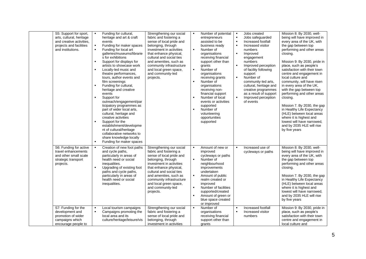| S5: Support for sport,<br>arts, cultural, heritage<br>and creative activities,<br>projects and facilities<br>and institutions. | Funding for cultural,<br>$\blacksquare$<br>heritage and art & craft<br>events<br>$\blacksquare$<br>Funding for maker spaces<br>$\blacksquare$<br>Funding for local art<br>galleries/museums/librarie<br>s for exhibitions<br>$\blacksquare$<br>Support for displays for<br>artists to showcase work<br>$\blacksquare$<br>Locally-led music and<br>theatre performances,<br>tours, author events and<br>film screenings<br>$\blacksquare$<br>Funding for cultural,<br>heritage and creative<br>events<br>$\blacksquare$<br>Support for<br>outreach/engagement/par<br>ticipatory programmes as<br>part of wider local arts,<br>cultural, heritage and<br>creative activities<br>$\blacksquare$<br>Support for the<br>establishment/developme<br>nt of cultural/heritage<br>collaborative networks to<br>share knowledge locally<br>$\blacksquare$<br>Funding for maker spaces | Strengthening our social<br>fabric and fostering a<br>sense of local pride and<br>belonging, through<br>investment in activities<br>that enhance physical,<br>cultural and social ties<br>and amenities, such as<br>community infrastructure<br>and local green space,<br>and community-led<br>projects. | $\blacksquare$<br>$\blacksquare$<br>$\blacksquare$<br>$\blacksquare$ | Number of potential<br>entrepreneurs<br>assisted to be<br>business ready<br>Number of<br>organisations<br>receiving financial<br>support other than<br>grants<br>Number of<br>organisations<br>receiving grants<br>Number of<br>organisations<br>receiving non-<br>financial support<br>Number of local<br>events or activities<br>supported<br>Number of<br>volunteering<br>opportunities<br>supported | $\blacksquare$<br>$\blacksquare$<br>$\blacksquare$<br>$\blacksquare$<br>$\blacksquare$<br>$\blacksquare$<br>٠<br>$\blacksquare$ | Jobs created<br>Jobs safeguarded<br>Increased footfall<br>Increased visitor<br>numbers<br>Improved<br>engagement<br>numbers<br>Improved perception<br>of facility following<br>support<br>Number of<br>community-led arts,<br>cultural, heritage and<br>creative programmes<br>as a result of support<br>Improved perception<br>of events | Mission 8: By 2030, well-<br>being will have improved in<br>every area of the UK, with<br>the gap between top<br>performing and other areas<br>closing.<br>Mission 9: By 2030, pride in<br>place, such as people's<br>satisfaction with their town<br>centre and engagement in<br>local culture and<br>community, will have risen<br>in every area of the UK,<br>with the gap between top<br>performing and other areas<br>closing.<br>Mission 7. By 2030, the gap<br>in Healthy Life Expectancy<br>(HLE) between local areas<br>where it is highest and<br>lowest will have narrowed,<br>and by 2035 HLE will rise<br>by five years |
|--------------------------------------------------------------------------------------------------------------------------------|-----------------------------------------------------------------------------------------------------------------------------------------------------------------------------------------------------------------------------------------------------------------------------------------------------------------------------------------------------------------------------------------------------------------------------------------------------------------------------------------------------------------------------------------------------------------------------------------------------------------------------------------------------------------------------------------------------------------------------------------------------------------------------------------------------------------------------------------------------------------------------|----------------------------------------------------------------------------------------------------------------------------------------------------------------------------------------------------------------------------------------------------------------------------------------------------------|----------------------------------------------------------------------|---------------------------------------------------------------------------------------------------------------------------------------------------------------------------------------------------------------------------------------------------------------------------------------------------------------------------------------------------------------------------------------------------------|---------------------------------------------------------------------------------------------------------------------------------|-------------------------------------------------------------------------------------------------------------------------------------------------------------------------------------------------------------------------------------------------------------------------------------------------------------------------------------------|--------------------------------------------------------------------------------------------------------------------------------------------------------------------------------------------------------------------------------------------------------------------------------------------------------------------------------------------------------------------------------------------------------------------------------------------------------------------------------------------------------------------------------------------------------------------------------------------------------------------------------------|
| S6: Funding for active<br>travel enhancements<br>and other small scale<br>strategic transport<br>projects.                     | Creation of new foot paths<br>$\blacksquare$<br>and cycle paths,<br>particularly in areas of<br>health need or social<br>inequalities.<br>$\blacksquare$<br>Upgrading of existing foot<br>paths and cycle paths,<br>particularly in areas of<br>health need or social<br>inequalities.                                                                                                                                                                                                                                                                                                                                                                                                                                                                                                                                                                                      | Strengthening our social<br>fabric and fostering a<br>sense of local pride and<br>belonging, through<br>investment in activities<br>that enhance physical,<br>cultural and social ties<br>and amenities, such as<br>community infrastructure<br>and local green space,<br>and community-led<br>projects. | $\blacksquare$<br>$\blacksquare$<br>$\blacksquare$<br>$\blacksquare$ | Amount of new or<br>improved<br>cycleways or paths<br>Number of<br>neighbourhood<br>improvements<br>undertaken<br>Amount of public<br>realm created or<br>improved<br>Number of facilities<br>supported/created<br>Amount of green or<br>blue space created<br>or improved                                                                                                                              | $\blacksquare$                                                                                                                  | Increased use of<br>cycleways or paths                                                                                                                                                                                                                                                                                                    | Mission 8: By 2030, well-<br>being will have improved in<br>every area of the UK, with<br>the gap between top<br>performing and other areas<br>closing.<br>Mission 7. By 2030, the gap<br>in Healthy Life Expectancy<br>(HLE) between local areas<br>where it is highest and<br>lowest will have narrowed.<br>and by 2035 HLE will rise<br>by five years                                                                                                                                                                                                                                                                             |
| S7: Funding for the<br>development and<br>promotion of wider<br>campaigns which<br>encourage people to                         | $\blacksquare$<br>Local tourism campaigns<br>$\blacksquare$<br>Campaigns promoting the<br>local area and its<br>culture/heritage/leisure/vis                                                                                                                                                                                                                                                                                                                                                                                                                                                                                                                                                                                                                                                                                                                                | Strengthening our social<br>fabric and fostering a<br>sense of local pride and<br>belonging, through<br>investment in activities                                                                                                                                                                         | $\blacksquare$                                                       | Number of<br>organisations<br>receiving financial<br>support other than<br>grants                                                                                                                                                                                                                                                                                                                       | $\blacksquare$<br>$\blacksquare$                                                                                                | Increased footfall<br>Increased visitor<br>numbers                                                                                                                                                                                                                                                                                        | Mission 9: By 2030, pride in<br>place, such as people's<br>satisfaction with their town<br>centre and engagement in<br>local culture and                                                                                                                                                                                                                                                                                                                                                                                                                                                                                             |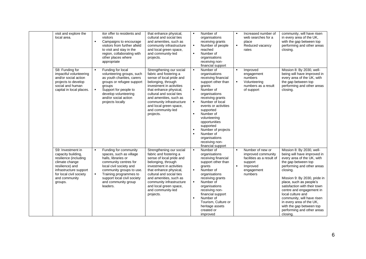| visit and explore the<br>local area.                                                                                                                                                   | $\blacksquare$                   | itor offer to residents and<br>visitors<br>Campaigns to encourage<br>visitors from further afield<br>to visit and stay in the<br>region, collaborating with<br>other places where<br>appropriate                                                    | that enhance physical,<br>cultural and social ties<br>and amenities, such as<br>community infrastructure<br>and local green space,<br>and community-led<br>projects.                                                                                                                                     | $\blacksquare$<br>$\blacksquare$<br>$\blacksquare$                                     | Number of<br>organisations<br>receiving grants<br>Number of people<br>reached<br>Number of<br>organisations<br>receiving non-<br>financial support                                                                                                                                                                                                | $\blacksquare$<br>$\blacksquare$ | Increased number of<br>web searches for a<br>place<br>Reduced vacancy<br>rates                                      | community, will have risen<br>in every area of the UK,<br>with the gap between top<br>performing and other areas<br>closing.                                                                                                                                                                                                                                                                                                        |
|----------------------------------------------------------------------------------------------------------------------------------------------------------------------------------------|----------------------------------|-----------------------------------------------------------------------------------------------------------------------------------------------------------------------------------------------------------------------------------------------------|----------------------------------------------------------------------------------------------------------------------------------------------------------------------------------------------------------------------------------------------------------------------------------------------------------|----------------------------------------------------------------------------------------|---------------------------------------------------------------------------------------------------------------------------------------------------------------------------------------------------------------------------------------------------------------------------------------------------------------------------------------------------|----------------------------------|---------------------------------------------------------------------------------------------------------------------|-------------------------------------------------------------------------------------------------------------------------------------------------------------------------------------------------------------------------------------------------------------------------------------------------------------------------------------------------------------------------------------------------------------------------------------|
| S8: Funding for<br>impactful volunteering<br>and/or social action<br>projects to develop<br>social and human<br>capital in local places.                                               | $\blacksquare$<br>$\blacksquare$ | Funding for local<br>volunteering groups, such<br>as youth charities, carers<br>groups or refugee support<br>groups<br>Support for people to<br>develop volunteering<br>and/or social action<br>projects locally                                    | Strengthening our social<br>fabric and fostering a<br>sense of local pride and<br>belonging, through<br>investment in activities<br>that enhance physical,<br>cultural and social ties<br>and amenities, such as<br>community infrastructure<br>and local green space,<br>and community-led<br>projects. | $\blacksquare$<br>$\blacksquare$<br>$\blacksquare$<br>$\blacksquare$<br>$\blacksquare$ | Number of<br>organisations<br>receiving financial<br>support other than<br>grants<br>Number of<br>organisations<br>receiving grants<br>Number of local<br>events or activities<br>supported<br>Number of<br>volunteering<br>opportunities<br>supported<br>Number of projects<br>Number of<br>organisations<br>receiving non-<br>financial support | $\blacksquare$<br>$\blacksquare$ | Improved<br>engagement<br>numbers<br>Volunteering<br>numbers as a result<br>of support                              | Mission 8: By 2030, well-<br>being will have improved in<br>every area of the UK, with<br>the gap between top<br>performing and other areas<br>closing.                                                                                                                                                                                                                                                                             |
| S9: Investment in<br>capacity building,<br>resilience (including<br>climate change<br>resilience) and<br>infrastructure support<br>for local civil society<br>and community<br>groups. | $\blacksquare$<br>$\blacksquare$ | Funding for community<br>spaces, such as village<br>halls, libraries or<br>community centres for<br>local civil society and<br>community groups to use.<br>Training programmes to<br>support local civil society<br>and community group<br>leaders. | Strengthening our social<br>fabric and fostering a<br>sense of local pride and<br>belonging, through<br>investment in activities<br>that enhance physical,<br>cultural and social ties<br>and amenities, such as<br>community infrastructure<br>and local green space,<br>and community-led<br>projects. | $\blacksquare$<br>$\blacksquare$<br>$\blacksquare$<br>$\blacksquare$                   | Number of<br>organisations<br>receiving financial<br>support other than<br>grants<br>Number of<br>organisations<br>receiving grants<br>Number of<br>organisations<br>receiving non-<br>financial support<br>Number of<br>Tourism, Culture or<br>heritage assets<br>created or<br>improved                                                         | $\blacksquare$<br>$\blacksquare$ | Number of new or<br>improved community<br>facilities as a result of<br>support<br>Improved<br>engagement<br>numbers | Mission 8: By 2030, well-<br>being will have improved in<br>every area of the UK, with<br>the gap between top<br>performing and other areas<br>closina.<br>Mission 9: By 2030, pride in<br>place, such as people's<br>satisfaction with their town<br>centre and engagement in<br>local culture and<br>community, will have risen<br>in every area of the UK,<br>with the gap between top<br>performing and other areas<br>closing. |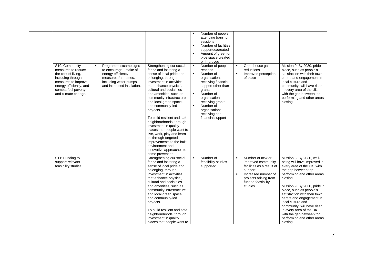| S10: Community<br>measures to reduce<br>the cost of living.<br>including through<br>measures to improve<br>energy efficiency, and<br>combat fuel poverty<br>and climate change. | $\blacksquare$ | Programmes/campaigns<br>to encourage uptake of<br>energy efficiency<br>measures for homes,<br>including water pumps<br>and increased insulation. | Strengthening our social<br>fabric and fostering a<br>sense of local pride and<br>belonging, through<br>investment in activities<br>that enhance physical,<br>cultural and social ties<br>and amenities, such as<br>community infrastructure<br>and local green space,<br>and community-led<br>projects.<br>To build resilient and safe<br>neighbourhoods, through<br>investment in quality<br>places that people want to<br>live, work, play and learn<br>in, through targeted<br>improvements to the built<br>environment and<br>innovative approaches to<br>crime prevention. | $\blacksquare$<br>$\blacksquare$<br>$\blacksquare$<br>$\blacksquare$<br>$\blacksquare$<br>$\blacksquare$ | Number of people<br>attending training<br>sessions<br>Number of facilities<br>supported/created<br>Amount of green or<br>blue space created<br>or improved<br>Number of people<br>reached<br>Number of<br>organisations<br>receiving financial<br>support other than<br>grants<br>Number of<br>organisations<br>receiving grants<br>Number of<br>organisations<br>receiving non-<br>financial support | $\blacksquare$<br>$\blacksquare$ | Greenhouse gas<br>reductions<br>Improved perception<br>of place                                                                                                 | Mission 9: By 2030, pride in<br>place, such as people's<br>satisfaction with their town<br>centre and engagement in<br>local culture and<br>community, will have risen<br>in every area of the UK,<br>with the gap between top<br>performing and other areas<br>closing.                                                                                                                                                            |
|---------------------------------------------------------------------------------------------------------------------------------------------------------------------------------|----------------|--------------------------------------------------------------------------------------------------------------------------------------------------|----------------------------------------------------------------------------------------------------------------------------------------------------------------------------------------------------------------------------------------------------------------------------------------------------------------------------------------------------------------------------------------------------------------------------------------------------------------------------------------------------------------------------------------------------------------------------------|----------------------------------------------------------------------------------------------------------|-------------------------------------------------------------------------------------------------------------------------------------------------------------------------------------------------------------------------------------------------------------------------------------------------------------------------------------------------------------------------------------------------------|----------------------------------|-----------------------------------------------------------------------------------------------------------------------------------------------------------------|-------------------------------------------------------------------------------------------------------------------------------------------------------------------------------------------------------------------------------------------------------------------------------------------------------------------------------------------------------------------------------------------------------------------------------------|
| S11: Funding to<br>support relevant<br>feasibility studies.                                                                                                                     |                |                                                                                                                                                  | Strengthening our social<br>fabric and fostering a<br>sense of local pride and<br>belonging, through<br>investment in activities<br>that enhance physical,<br>cultural and social ties<br>and amenities, such as<br>community infrastructure<br>and local green space,<br>and community-led<br>projects.<br>To build resilient and safe<br>neighbourhoods, through<br>investment in quality<br>places that people want to                                                                                                                                                        | $\blacksquare$                                                                                           | Number of<br>feasibility studies<br>supported                                                                                                                                                                                                                                                                                                                                                         | $\blacksquare$<br>$\bullet$      | Number of new or<br>improved community<br>facilities as a result of<br>support<br>Increased number of<br>projects arising from<br>funded feasibility<br>studies | Mission 8: By 2030, well-<br>being will have improved in<br>every area of the UK, with<br>the gap between top<br>performing and other areas<br>closing.<br>Mission 9: By 2030, pride in<br>place, such as people's<br>satisfaction with their town<br>centre and engagement in<br>local culture and<br>community, will have risen<br>in every area of the UK,<br>with the gap between top<br>performing and other areas<br>closing. |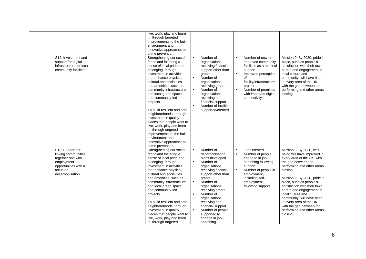| S12: Investment and<br>support for digital<br>infrastructure for local<br>community facilities                                     | live, work, play and learn<br>in, through targeted<br>improvements to the built<br>environment and<br>innovative approaches to<br>crime prevention.<br>Strengthening our social<br>fabric and fostering a<br>sense of local pride and<br>belonging, through<br>investment in activities<br>that enhance physical,<br>cultural and social ties<br>and amenities, such as<br>community infrastructure<br>and local green space,<br>and community-led<br>projects.<br>To build resilient and safe<br>neighbourhoods, through<br>investment in quality<br>places that people want to<br>live, work, play and learn<br>in, through targeted<br>improvements to the built<br>environment and<br>innovative approaches to<br>crime prevention. | $\blacksquare$<br>$\blacksquare$<br>$\blacksquare$                                     | Number of<br>organisations<br>receiving financial<br>support other than<br>grants<br>Number of<br>organisations<br>receiving grants<br>Number of<br>organisations<br>receiving non-<br>financial support<br>Number of facilities<br>supported/created                                                                          | $\blacksquare$<br>$\blacksquare$                   | Number of new or<br>improved community<br>facilities as a result of<br>support<br>Improved perception<br>οf<br>facility/infrastructure<br>project<br>Number of premises<br>with improved digital<br>connectivity | Mission 9: By 2030, pride in<br>place, such as people's<br>satisfaction with their town<br>centre and engagement in<br>local culture and<br>community, will have risen<br>in every area of the UK,<br>with the gap between top<br>performing and other areas<br>closing.                                                                                                                                                            |
|------------------------------------------------------------------------------------------------------------------------------------|-----------------------------------------------------------------------------------------------------------------------------------------------------------------------------------------------------------------------------------------------------------------------------------------------------------------------------------------------------------------------------------------------------------------------------------------------------------------------------------------------------------------------------------------------------------------------------------------------------------------------------------------------------------------------------------------------------------------------------------------|----------------------------------------------------------------------------------------|--------------------------------------------------------------------------------------------------------------------------------------------------------------------------------------------------------------------------------------------------------------------------------------------------------------------------------|----------------------------------------------------|------------------------------------------------------------------------------------------------------------------------------------------------------------------------------------------------------------------|-------------------------------------------------------------------------------------------------------------------------------------------------------------------------------------------------------------------------------------------------------------------------------------------------------------------------------------------------------------------------------------------------------------------------------------|
| S13: Support for<br>linking communities<br>together and with<br>employment<br>opportunities with a<br>focus on<br>decarbonisation. | Strengthening our social<br>fabric and fostering a<br>sense of local pride and<br>belonging, through<br>investment in activities<br>that enhance physical,<br>cultural and social ties<br>and amenities, such as<br>community infrastructure<br>and local green space,<br>and community-led<br>projects.<br>To build resilient and safe<br>neighbourhoods, through<br>investment in quality<br>places that people want to<br>live, work, play and learn<br>in, through targeted                                                                                                                                                                                                                                                         | $\blacksquare$<br>$\blacksquare$<br>$\blacksquare$<br>$\blacksquare$<br>$\blacksquare$ | Number of<br>decarbonisation<br>plans developed<br>Number of<br>organisations<br>receiving financial<br>support other than<br>grants<br>Number of<br>organisations<br>receiving grants<br>Number of<br>organisations<br>receiving non-<br>financial support<br>Number of people<br>supported to<br>engage in job-<br>searching | $\blacksquare$<br>$\blacksquare$<br>$\blacksquare$ | Jobs created<br>Number of people<br>engaged in job-<br>searching following<br>support<br>Number of people in<br>employment,<br>including self-<br>employment,<br>following support                               | Mission 8: By 2030, well-<br>being will have improved in<br>every area of the UK, with<br>the gap between top<br>performing and other areas<br>closing.<br>Mission 9: By 2030, pride in<br>place, such as people's<br>satisfaction with their town<br>centre and engagement in<br>local culture and<br>community, will have risen<br>in every area of the UK,<br>with the gap between top<br>performing and other areas<br>closing. |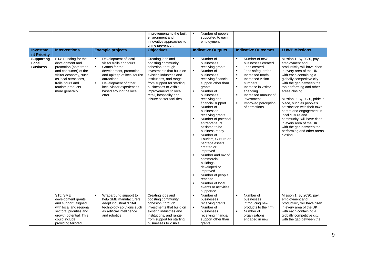|                                               |                                                                                                                                                                                                        |                                                                                                                                                                                                                                                                                          | improvements to the built<br>environment and<br>innovative approaches to<br>crime prevention.                                                                                                                                                                                           | Number of people<br>supported to gain<br>employment                                                                                                                                                                                                                                                                                                                                                                                                                                                                                                                                                                                                                                                                                                                                                                                                                                                                                                                                                                                                                                                                                                                                                                                                                                                                                                                                                                                                                                                                                         |
|-----------------------------------------------|--------------------------------------------------------------------------------------------------------------------------------------------------------------------------------------------------------|------------------------------------------------------------------------------------------------------------------------------------------------------------------------------------------------------------------------------------------------------------------------------------------|-----------------------------------------------------------------------------------------------------------------------------------------------------------------------------------------------------------------------------------------------------------------------------------------|---------------------------------------------------------------------------------------------------------------------------------------------------------------------------------------------------------------------------------------------------------------------------------------------------------------------------------------------------------------------------------------------------------------------------------------------------------------------------------------------------------------------------------------------------------------------------------------------------------------------------------------------------------------------------------------------------------------------------------------------------------------------------------------------------------------------------------------------------------------------------------------------------------------------------------------------------------------------------------------------------------------------------------------------------------------------------------------------------------------------------------------------------------------------------------------------------------------------------------------------------------------------------------------------------------------------------------------------------------------------------------------------------------------------------------------------------------------------------------------------------------------------------------------------|
| <b>Investme</b><br>nt Priority                | <b>Interventions</b>                                                                                                                                                                                   | <b>Example projects</b>                                                                                                                                                                                                                                                                  | <b>Objectives</b>                                                                                                                                                                                                                                                                       | <b>LUWP Missions</b><br><b>Indicative Outputs</b><br><b>Indicative Outcomes</b>                                                                                                                                                                                                                                                                                                                                                                                                                                                                                                                                                                                                                                                                                                                                                                                                                                                                                                                                                                                                                                                                                                                                                                                                                                                                                                                                                                                                                                                             |
| <b>Supporting</b><br>Local<br><b>Business</b> | S14: Funding for the<br>development and<br>promotion (both trade<br>and consumer) of the<br>visitor economy, such<br>as local attractions.<br>trails, tours and<br>tourism products<br>more generally. | Development of local<br>$\blacksquare$<br>visitor trails and tours<br>Grants for the<br>$\blacksquare$<br>development, promotion<br>and upkeep of local tourist<br>attractions<br>$\blacksquare$<br>Development of other<br>local visitor experiences<br>based around the local<br>offer | Creating jobs and<br>boosting community<br>cohesion, through<br>investments that build on<br>existing industries and<br>institutions, and range<br>from support for starting<br>businesses to visible<br>improvements to local<br>retail, hospitality and<br>leisure sector facilities. | Mission 1: By 2030, pay,<br>Number of<br>Number of new<br>$\blacksquare$<br>employment and<br>businesses<br>businesses created<br>productivity will have risen<br>receiving grants<br>Jobs created<br>in every area of the UK,<br>$\blacksquare$<br>Number of<br>$\blacksquare$<br>Jobs safeguarded<br>Increased footfall<br>with each containing a<br>businesses<br>Increased visitor<br>globally competitive city,<br>receiving financial<br>$\blacksquare$<br>numbers<br>with the gap between the<br>support other than<br>top performing and other<br>$\blacksquare$<br>Increase in visitor<br>grants<br>Number of<br>$\blacksquare$<br>spending<br>areas closing.<br>Increased amount of<br>businesses<br>$\blacksquare$<br>Mission 9: By 2030, pride in<br>investment<br>receiving non-<br>place, such as people's<br>financial support<br>Improved perception<br>$\blacksquare$<br>$\blacksquare$<br>of attractions<br>satisfaction with their town<br>Number of<br>centre and engagement in<br>businesses<br>local culture and<br>receiving grants<br>Number of potential<br>community, will have risen<br>in every area of the UK.<br>entrepreneurs<br>with the gap between top<br>assisted to be<br>performing and other areas<br>business ready<br>Number of<br>closing.<br>Tourism, Culture or<br>heritage assets<br>created or<br>improved<br>Number and m2 of<br>commercial<br>buildings<br>developed or<br>improved<br>Number of people<br>reached<br>Number of local<br>$\blacksquare$<br>events or activities<br>supported |
|                                               | <b>S15: SME</b><br>development grants                                                                                                                                                                  | Wraparound support to<br>help SME manufacturers                                                                                                                                                                                                                                          | Creating jobs and<br>boosting community                                                                                                                                                                                                                                                 | Number of<br>Number of<br>Mission 1: By 2030, pay,<br>$\blacksquare$<br>businesses<br>employment and<br>businesses                                                                                                                                                                                                                                                                                                                                                                                                                                                                                                                                                                                                                                                                                                                                                                                                                                                                                                                                                                                                                                                                                                                                                                                                                                                                                                                                                                                                                          |
|                                               | and support, aligned<br>with local and regional<br>sectoral priorities and                                                                                                                             | adopt industrial digital<br>technology solutions such<br>as artificial intelligence                                                                                                                                                                                                      | cohesion, through<br>investments that build on<br>existing industries and                                                                                                                                                                                                               | productivity will have risen<br>receiving grants<br>introducing new<br>$\blacksquare$<br>Number of<br>products to the firm<br>in every area of the UK,<br>Number of<br>with each containing a<br>businesses<br>$\blacksquare$                                                                                                                                                                                                                                                                                                                                                                                                                                                                                                                                                                                                                                                                                                                                                                                                                                                                                                                                                                                                                                                                                                                                                                                                                                                                                                               |
|                                               | growth potential. This<br>could include.<br>providing tailored                                                                                                                                         | and robotics                                                                                                                                                                                                                                                                             | institutions, and range<br>from support for starting<br>businesses to visible                                                                                                                                                                                                           | globally competitive city,<br>receiving financial<br>organisations<br>with the gap between the<br>support other than<br>engaged in new<br>grants                                                                                                                                                                                                                                                                                                                                                                                                                                                                                                                                                                                                                                                                                                                                                                                                                                                                                                                                                                                                                                                                                                                                                                                                                                                                                                                                                                                            |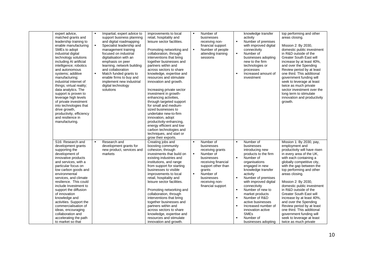| expert advice,<br>matched grants and<br>leadership training to<br>enable manufacturing<br>SMEs to adopt<br>industrial digital<br>technology solutions<br>including AI artificial<br>intelligence; robotics<br>and autonomous<br>systems; additive<br>manufacturing;<br>industrial internet of<br>things; virtual reality;<br>data analytics. The<br>support is proven to<br>leverage high levels<br>of private investment<br>into technologies that<br>drive growth,<br>productivity, efficiency<br>and resilience in<br>manufacturing. | $\blacksquare$<br>$\blacksquare$<br>$\blacksquare$ | Impartial, expert advice to<br>support business planning<br>and digital roadmapping<br>Specialist leadership and<br>management training<br>focused on industrial<br>digitalisation with an<br>emphasis on peer<br>learning, network building<br>and collaboration<br>Match funded grants to<br>enable firms to buy and<br>implement new industrial<br>digital technology<br>solutions | improvements to local<br>retail, hospitality and<br>leisure sector facilities.<br>Promoting networking and<br>collaboration, through<br>interventions that bring<br>together businesses and<br>partners within and<br>across sectors to share<br>knowledge, expertise and<br>resources and stimulate<br>innovation and growth.<br>Increasing private sector<br>investment in growth-<br>enhancing activities,<br>through targeted support<br>for small and medium-<br>sized businesses to<br>undertake new-to-firm<br>innovation, adopt<br>productivity-enhancing,<br>energy efficient and low<br>carbon technologies and<br>techniques, and start or<br>grow their exports. | $\blacksquare$<br>$\blacksquare$                   | Number of<br>businesses<br>receiving non-<br>financial support<br>Number of people<br>attending training<br>sessions                                                                            | $\blacksquare$<br>$\blacksquare$<br>$\blacksquare$                                     | knowledge transfer<br>activity<br>Number of premises<br>with improved digital<br>connectivity<br>Number of<br>businesses adopting<br>new to the firm<br>technologies or<br>processes<br>Increased amount of<br>investment                                                                                                                                                                                  | top performing and other<br>areas closing.<br>Mission 2: By 2030,<br>domestic public investment<br>in R&D outside of the<br><b>Greater South East will</b><br>increase by at least 40%,<br>and over the Spending<br>Review period by at least<br>one third. This additional<br>government funding will<br>seek to leverage at least<br>twice as much private<br>sector investment over the<br>long term to stimulate<br>innovation and productivity<br>growth.                                                                                             |
|-----------------------------------------------------------------------------------------------------------------------------------------------------------------------------------------------------------------------------------------------------------------------------------------------------------------------------------------------------------------------------------------------------------------------------------------------------------------------------------------------------------------------------------------|----------------------------------------------------|---------------------------------------------------------------------------------------------------------------------------------------------------------------------------------------------------------------------------------------------------------------------------------------------------------------------------------------------------------------------------------------|------------------------------------------------------------------------------------------------------------------------------------------------------------------------------------------------------------------------------------------------------------------------------------------------------------------------------------------------------------------------------------------------------------------------------------------------------------------------------------------------------------------------------------------------------------------------------------------------------------------------------------------------------------------------------|----------------------------------------------------|-------------------------------------------------------------------------------------------------------------------------------------------------------------------------------------------------|----------------------------------------------------------------------------------------|------------------------------------------------------------------------------------------------------------------------------------------------------------------------------------------------------------------------------------------------------------------------------------------------------------------------------------------------------------------------------------------------------------|------------------------------------------------------------------------------------------------------------------------------------------------------------------------------------------------------------------------------------------------------------------------------------------------------------------------------------------------------------------------------------------------------------------------------------------------------------------------------------------------------------------------------------------------------------|
| S16: Research and<br>development grants<br>supporting the<br>development of<br>innovative products<br>and services, with a<br>particular focus on<br>low carbon goods and<br>environmental<br>services, and climate<br>resilience. This could<br>include Investment to<br>support the diffusion<br>of innovation<br>knowledge and<br>activities. Support the<br>commercialisation of<br>ideas, encouraging<br>collaboration and<br>accelerating the path<br>to market so that                                                           | $\blacksquare$                                     | Research and<br>development grants for<br>new product, services and<br>markets                                                                                                                                                                                                                                                                                                        | Creating jobs and<br>boosting community<br>cohesion, through<br>investments that build on<br>existing industries and<br>institutions, and range<br>from support for starting<br>businesses to visible<br>improvements to local<br>retail, hospitality and<br>leisure sector facilities.<br>Promoting networking and<br>collaboration, through<br>interventions that bring<br>together businesses and<br>partners within and<br>across sectors to share<br>knowledge, expertise and<br>resources and stimulate<br>innovation and growth.                                                                                                                                      | $\blacksquare$<br>$\blacksquare$<br>$\blacksquare$ | Number of<br>businesses<br>receiving grants<br>Number of<br>businesses<br>receiving financial<br>support other than<br>grants<br>Number of<br>businesses<br>receiving non-<br>financial support | $\blacksquare$<br>$\blacksquare$<br>$\blacksquare$<br>$\blacksquare$<br>$\blacksquare$ | Number of<br>businesses<br>introducing new<br>products to the firm<br>Number of<br>organisations<br>engaged in new<br>knowledge transfer<br>activity<br>Number of premises<br>with improved digital<br>connectivity<br>Number of new to<br>market products<br>Number of R&D<br>active businesses<br>Increased number of<br>innovation active<br><b>SME<sub>s</sub></b><br>Number of<br>businesses adopting | Mission 1: By 2030, pay,<br>employment and<br>productivity will have risen<br>in every area of the UK,<br>with each containing a<br>globally competitive city,<br>with the gap between the<br>top performing and other<br>areas closing.<br>Mission 2: By 2030,<br>domestic public investment<br>in R&D outside of the<br><b>Greater South East will</b><br>increase by at least 40%,<br>and over the Spending<br>Review period by at least<br>one third. This additional<br>government funding will<br>seek to leverage at least<br>twice as much private |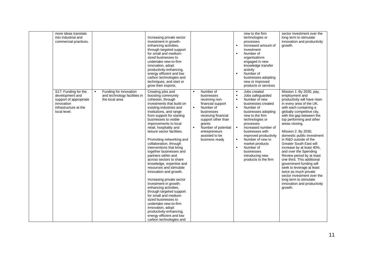| more ideas translate<br>into industrial and<br>commercial practices.                                                     |                                                                                            | Increasing private sector<br>investment in growth-<br>enhancing activities,<br>through targeted support<br>for small and medium-<br>sized businesses to<br>undertake new-to-firm<br>innovation, adopt<br>productivity-enhancing,<br>energy efficient and low<br>carbon technologies and<br>techniques, and start or<br>grow their exports.                                                                                                                                                                                                                                                                                                                                                                                                                                                                                         |                                                                                                                                                                                                                                                                                    | new to the firm<br>technologies or<br>processes<br>Increased amount of<br>investment<br>Number of<br>$\blacksquare$<br>organisations<br>engaged in new<br>knowledge transfer<br>activity<br>Number of<br>$\blacksquare$<br>businesses adopting<br>new or improved<br>products or services                                                                                                                                                                  | sector investment over the<br>long term to stimulate<br>innovation and productivity<br>growth.                                                                                                                                                                                                                                                                                                                                                                                                                                                                                                                                                               |
|--------------------------------------------------------------------------------------------------------------------------|--------------------------------------------------------------------------------------------|------------------------------------------------------------------------------------------------------------------------------------------------------------------------------------------------------------------------------------------------------------------------------------------------------------------------------------------------------------------------------------------------------------------------------------------------------------------------------------------------------------------------------------------------------------------------------------------------------------------------------------------------------------------------------------------------------------------------------------------------------------------------------------------------------------------------------------|------------------------------------------------------------------------------------------------------------------------------------------------------------------------------------------------------------------------------------------------------------------------------------|------------------------------------------------------------------------------------------------------------------------------------------------------------------------------------------------------------------------------------------------------------------------------------------------------------------------------------------------------------------------------------------------------------------------------------------------------------|--------------------------------------------------------------------------------------------------------------------------------------------------------------------------------------------------------------------------------------------------------------------------------------------------------------------------------------------------------------------------------------------------------------------------------------------------------------------------------------------------------------------------------------------------------------------------------------------------------------------------------------------------------------|
| S17: Funding for the<br>development and<br>support of appropriate<br>innovation<br>infrastructure at the<br>local level. | Funding for innovation<br>$\blacksquare$<br>and technology facilities in<br>the local area | Creating jobs and<br>boosting community<br>cohesion, through<br>investments that build on<br>existing industries and<br>institutions, and range<br>from support for starting<br>businesses to visible<br>improvements to local<br>retail, hospitality and<br>leisure sector facilities.<br>Promoting networking and<br>collaboration, through<br>interventions that bring<br>together businesses and<br>partners within and<br>across sectors to share<br>knowledge, expertise and<br>resources and stimulate<br>innovation and growth.<br>Increasing private sector<br>investment in growth-<br>enhancing activities,<br>through targeted support<br>for small and medium-<br>sized businesses to<br>undertake new-to-firm<br>innovation, adopt<br>productivity-enhancing,<br>energy efficient and low<br>carbon technologies and | Number of<br>$\blacksquare$<br>businesses<br>receiving non-<br>financial support<br>$\blacksquare$<br>Number of<br>businesses<br>receiving financial<br>support other than<br>grants<br>$\blacksquare$<br>Number of potential<br>entrepreneurs<br>assisted to be<br>business ready | Jobs created<br>$\blacksquare$<br>Jobs safequarded<br>Number of new<br>$\blacksquare$<br>businesses created<br>Number of<br>$\blacksquare$<br>businesses adopting<br>new to the firm<br>technologies or<br>processes<br>$\blacksquare$<br>Increased number of<br>businesses with<br>improved productivity<br>Number of new to<br>$\blacksquare$<br>market products<br>Number of<br>$\blacksquare$<br>businesses<br>introducing new<br>products to the firm | Mission 1: By 2030, pay,<br>employment and<br>productivity will have risen<br>in every area of the UK,<br>with each containing a<br>globally competitive city,<br>with the gap between the<br>top performing and other<br>areas closing.<br>Mission 2: By 2030,<br>domestic public investment<br>in R&D outside of the<br><b>Greater South East will</b><br>increase by at least 40%,<br>and over the Spending<br>Review period by at least<br>one third. This additional<br>government funding will<br>seek to leverage at least<br>twice as much private<br>sector investment over the<br>long term to stimulate<br>innovation and productivity<br>growth. |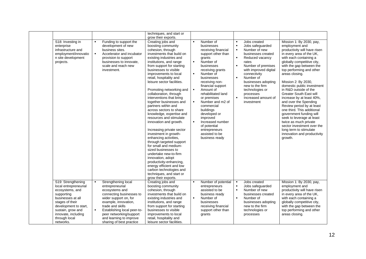|                                                                                                                                                                                                                         |                                  |                                                                                                                                                                                                                                                                            | techniques, and start or                                                                                                                                                                                                                                                                                                                                                                                                                                                                                                                                                                                                                                                                                                                                                                                                                                                                                     |                                                                                                          |                                                                                                                                                                                                                                                                                                                                                                                                                       |                                                                                        |                                                                                                                                                                                                                                                                                                |                                                                                                                                                                                                                                                                                                                                                                                                                                                                                                                                                                                                                                                              |
|-------------------------------------------------------------------------------------------------------------------------------------------------------------------------------------------------------------------------|----------------------------------|----------------------------------------------------------------------------------------------------------------------------------------------------------------------------------------------------------------------------------------------------------------------------|--------------------------------------------------------------------------------------------------------------------------------------------------------------------------------------------------------------------------------------------------------------------------------------------------------------------------------------------------------------------------------------------------------------------------------------------------------------------------------------------------------------------------------------------------------------------------------------------------------------------------------------------------------------------------------------------------------------------------------------------------------------------------------------------------------------------------------------------------------------------------------------------------------------|----------------------------------------------------------------------------------------------------------|-----------------------------------------------------------------------------------------------------------------------------------------------------------------------------------------------------------------------------------------------------------------------------------------------------------------------------------------------------------------------------------------------------------------------|----------------------------------------------------------------------------------------|------------------------------------------------------------------------------------------------------------------------------------------------------------------------------------------------------------------------------------------------------------------------------------------------|--------------------------------------------------------------------------------------------------------------------------------------------------------------------------------------------------------------------------------------------------------------------------------------------------------------------------------------------------------------------------------------------------------------------------------------------------------------------------------------------------------------------------------------------------------------------------------------------------------------------------------------------------------------|
| S <sub>18</sub> : Investing in<br>enterprise<br>infrastructure and<br>employment/innovatio<br>n site development<br>projects.                                                                                           | $\blacksquare$<br>$\blacksquare$ | Funding to support the<br>development of new<br>business sites.<br>Accelerator and incubator<br>provision to support<br>businesses to innovate,<br>scale and reach new<br>investment.                                                                                      | grow their exports.<br>Creating jobs and<br>boosting community<br>cohesion, through<br>investments that build on<br>existing industries and<br>institutions, and range<br>from support for starting<br>businesses to visible<br>improvements to local<br>retail, hospitality and<br>leisure sector facilities.<br>Promoting networking and<br>collaboration, through<br>interventions that bring<br>together businesses and<br>partners within and<br>across sectors to share<br>knowledge, expertise and<br>resources and stimulate<br>innovation and growth.<br>Increasing private sector<br>investment in growth-<br>enhancing activities,<br>through targeted support<br>for small and medium-<br>sized businesses to<br>undertake new-to-firm<br>innovation, adopt<br>productivity-enhancing,<br>energy efficient and low<br>carbon technologies and<br>techniques, and start or<br>grow their exports. | $\blacksquare$<br>$\blacksquare$<br>$\blacksquare$<br>$\blacksquare$<br>$\blacksquare$<br>$\blacksquare$ | Number of<br>businesses<br>receiving financial<br>support other than<br>grants<br>Number of<br>businesses<br>receiving grants<br>Number of<br>businesses<br>receiving non-<br>financial support<br>Amount of<br>rehabilitated land<br>or premises<br>Number and m2 of<br>commercial<br>buildings<br>developed or<br>improved<br>Increased number<br>of potential<br>entrepreneurs<br>assisted to be<br>business ready | $\blacksquare$<br>$\blacksquare$<br>$\blacksquare$<br>$\blacksquare$<br>$\blacksquare$ | Jobs created<br>Jobs safeguarded<br>Number of new<br>businesses created<br>Reduced vacancy<br>rates<br>Number of premises<br>with improved digital<br>connectivity<br>Number of<br>businesses adopting<br>new to the firm<br>technologies or<br>processes<br>Increased amount of<br>investment | Mission 1: By 2030, pay,<br>employment and<br>productivity will have risen<br>in every area of the UK,<br>with each containing a<br>globally competitive city,<br>with the gap between the<br>top performing and other<br>areas closing.<br>Mission 2: By 2030,<br>domestic public investment<br>in R&D outside of the<br><b>Greater South East will</b><br>increase by at least 40%,<br>and over the Spending<br>Review period by at least<br>one third. This additional<br>government funding will<br>seek to leverage at least<br>twice as much private<br>sector investment over the<br>long term to stimulate<br>innovation and productivity<br>growth. |
| S19: Strengthening<br>local entrepreneurial<br>ecosystems, and<br>supporting<br>businesses at all<br>stages of their<br>development to start,<br>sustain, grow and<br>innovate, including<br>through local<br>networks. | $\blacksquare$<br>$\blacksquare$ | Strengthening local<br>entrepreneurial<br>ecosystems and<br>connecting businesses to<br>wider support on, for<br>example, innovation,<br>trade and skills<br>Establishing local peer-to-<br>peer networking/support<br>and learning to improve<br>sharing of best practice | Creating jobs and<br>boosting community<br>cohesion, through<br>investments that build on<br>existing industries and<br>institutions, and range<br>from support for starting<br>businesses to visible<br>improvements to local<br>retail, hospitality and<br>leisure sector facilities.                                                                                                                                                                                                                                                                                                                                                                                                                                                                                                                                                                                                                      | $\blacksquare$<br>$\blacksquare$                                                                         | Number of potential<br>entrepreneurs<br>assisted to be<br>business ready<br>Number of<br>businesses<br>receiving financial<br>support other than<br>grants                                                                                                                                                                                                                                                            | $\blacksquare$<br>$\blacksquare$<br>$\blacksquare$                                     | Jobs created<br>Jobs safeguarded<br>Number of new<br>businesses created<br>Number of<br>businesses adopting<br>new to the firm<br>technologies or<br>processes                                                                                                                                 | Mission 1: By 2030, pay,<br>employment and<br>productivity will have risen<br>in every area of the UK,<br>with each containing a<br>globally competitive city,<br>with the gap between the<br>top performing and other<br>areas closing.                                                                                                                                                                                                                                                                                                                                                                                                                     |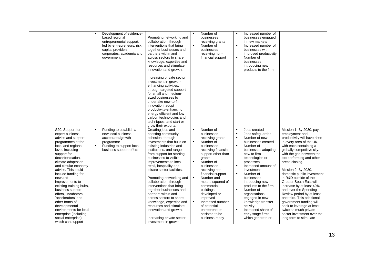|                         | $\blacksquare$ | Development of evidence-   |                            | $\blacksquare$ | Number of           |                | Increased number of   |                                |
|-------------------------|----------------|----------------------------|----------------------------|----------------|---------------------|----------------|-----------------------|--------------------------------|
|                         |                | based regional             | Promoting networking and   |                | businesses          |                | businesses engaged    |                                |
|                         |                | entrepreneurial support,   | collaboration, through     |                | receiving grants    |                | in new markets        |                                |
|                         |                | led by entrepreneurs, risk | interventions that bring   | $\blacksquare$ | Number of           | $\blacksquare$ | Increased number of   |                                |
|                         |                | capital providers,         | together businesses and    |                | businesses          |                | businesses with       |                                |
|                         |                | corporates, academia and   | partners within and        |                | receiving non-      |                | improved productivity |                                |
|                         |                | government                 | across sectors to share    |                | financial support   | $\blacksquare$ | Number of             |                                |
|                         |                |                            | knowledge, expertise and   |                |                     |                | businesses            |                                |
|                         |                |                            | resources and stimulate    |                |                     |                | introducing new       |                                |
|                         |                |                            | innovation and growth.     |                |                     |                | products to the firm  |                                |
|                         |                |                            |                            |                |                     |                |                       |                                |
|                         |                |                            | Increasing private sector  |                |                     |                |                       |                                |
|                         |                |                            | investment in growth-      |                |                     |                |                       |                                |
|                         |                |                            | enhancing activities,      |                |                     |                |                       |                                |
|                         |                |                            | through targeted support   |                |                     |                |                       |                                |
|                         |                |                            | for small and medium-      |                |                     |                |                       |                                |
|                         |                |                            | sized businesses to        |                |                     |                |                       |                                |
|                         |                |                            | undertake new-to-firm      |                |                     |                |                       |                                |
|                         |                |                            | innovation, adopt          |                |                     |                |                       |                                |
|                         |                |                            | productivity-enhancing,    |                |                     |                |                       |                                |
|                         |                |                            | energy efficient and low   |                |                     |                |                       |                                |
|                         |                |                            | carbon technologies and    |                |                     |                |                       |                                |
|                         |                |                            | techniques, and start or   |                |                     |                |                       |                                |
|                         |                |                            | grow their exports.        |                |                     |                |                       |                                |
| S20: Support for        | $\blacksquare$ | Funding to establish a     | Creating jobs and          | $\blacksquare$ | Number of           | $\blacksquare$ | Jobs created          | Mission 1: By 2030, pay,       |
| expert business         |                | new local business         | boosting community         |                | businesses          | $\blacksquare$ | Jobs safeguarded      | employment and                 |
| advice and support      |                | accelerator/growth         | cohesion, through          |                | receiving grants    | $\blacksquare$ | Number of new         | productivity will have risen   |
| programmes at the       |                | programme                  | investments that build on  | ٠              | Number of           |                | businesses created    | in every area of the UK,       |
| local and regional      | $\blacksquare$ | Funding to support local   | existing industries and    |                | businesses          | $\blacksquare$ | Number of             | with each containing a         |
| level, including        |                | business support offers    | institutions, and range    |                | receiving financial |                | businesses adopting   | globally competitive city,     |
| support for             |                |                            | from support for starting  |                | support other than  |                | new to firm           | with the gap between the       |
| decarbonisation,        |                |                            | businesses to visible      |                | grants              |                | technologies or       | top performing and other       |
| climate adaptation      |                |                            | improvements to local      | $\blacksquare$ | Number of           |                | processes             | areas closing.                 |
| and circular economy    |                |                            | retail, hospitality and    |                | businesses          | $\blacksquare$ | Increased amount of   |                                |
| advice. This could      |                |                            | leisure sector facilities. |                | receiving non-      |                | investment            | Mission 2: By 2030,            |
| include funding for     |                |                            |                            |                | financial support   | $\blacksquare$ | Number of             | domestic public investment     |
| new and                 |                |                            | Promoting networking and   | $\blacksquare$ | Number and          |                | businesses            | in R&D outside of the          |
| improvements to         |                |                            | collaboration, through     |                | meters squared of   |                | introducing new       | <b>Greater South East will</b> |
| existing training hubs, |                |                            | interventions that bring   |                | commercial          |                | products to the firm  | increase by at least 40%,      |
| business support        |                |                            | together businesses and    |                | buildings           | $\blacksquare$ | Number of             | and over the Spending          |
| offers, 'incubators',   |                |                            | partners within and        |                | developed or        |                | organisations         | Review period by at least      |
| 'accelerators' and      |                |                            | across sectors to share    |                | improved            |                | engaged in new        | one third. This additional     |
| other forms of          |                |                            | knowledge, expertise and   | $\blacksquare$ | Increased number    |                | knowledge transfer    | government funding will        |
| developmental           |                |                            | resources and stimulate    |                | of potential        |                | activity              | seek to leverage at least      |
| environments for local  |                |                            | innovation and growth.     |                | entrepreneurs       | $\blacksquare$ | Increased share of    | twice as much private          |
| enterprise (including   |                |                            |                            |                | assisted to be      |                | early stage firms     | sector investment over the     |
| social enterprise)      |                |                            | Increasing private sector  |                | business ready      |                | which generate or     | long term to stimulate         |
| which can support       |                |                            | investment in growth-      |                |                     |                |                       |                                |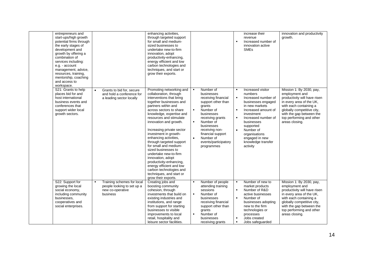| entrepreneurs and<br>start-ups/high growth<br>potential firms through<br>the early stages of<br>development and<br>growth by offering a<br>combination of<br>services including:<br>e.g. - account<br>management, advice,<br>resources, training,<br>mentorship, coaching<br>and access to<br>workspace. |                                                                                          | enhancing activities,<br>through targeted support<br>for small and medium-<br>sized businesses to<br>undertake new-to-firm<br>innovation, adopt<br>productivity-enhancing,<br>energy efficient and low<br>carbon technologies and<br>techniques, and start or<br>grow their exports.                                                                                                                                                                                                                                                                                                       |                                                                 |                                                                                                                                                                                                                                                    | $\blacksquare$                                                       | increase their<br>revenue<br>Increased number of<br>innovation active<br><b>SME<sub>s</sub></b>                                                                                                                                                                      | innovation and productivity<br>growth.                                                                                                                                                                                                   |
|----------------------------------------------------------------------------------------------------------------------------------------------------------------------------------------------------------------------------------------------------------------------------------------------------------|------------------------------------------------------------------------------------------|--------------------------------------------------------------------------------------------------------------------------------------------------------------------------------------------------------------------------------------------------------------------------------------------------------------------------------------------------------------------------------------------------------------------------------------------------------------------------------------------------------------------------------------------------------------------------------------------|-----------------------------------------------------------------|----------------------------------------------------------------------------------------------------------------------------------------------------------------------------------------------------------------------------------------------------|----------------------------------------------------------------------|----------------------------------------------------------------------------------------------------------------------------------------------------------------------------------------------------------------------------------------------------------------------|------------------------------------------------------------------------------------------------------------------------------------------------------------------------------------------------------------------------------------------|
| S21: Grants to help<br>$\bullet$<br>places bid for and<br>host international<br>business events and<br>conferences that<br>support wider local<br>growth sectors.                                                                                                                                        | Grants to bid for, secure<br>and hold a conference for<br>a leading sector locally       | Promoting networking and<br>collaboration, through<br>interventions that bring<br>together businesses and<br>partners within and<br>across sectors to share<br>knowledge, expertise and<br>resources and stimulate<br>innovation and growth.<br>Increasing private sector<br>investment in growth-<br>enhancing activities,<br>through targeted support<br>for small and medium-<br>sized businesses to<br>undertake new-to-firm<br>innovation, adopt<br>productivity-enhancing,<br>energy efficient and low<br>carbon technologies and<br>techniques, and start or<br>grow their exports. | $\blacksquare$<br>$\blacksquare$<br>$\blacksquare$<br>$\bullet$ | Number of<br>businesses<br>receiving financial<br>support other than<br>grants<br>Number of<br>businesses<br>receiving grants<br>Number of<br>businesses<br>receiving non-<br>financial support<br>Number of<br>events/participatory<br>programmes | $\blacksquare$<br>$\blacksquare$<br>$\blacksquare$<br>$\bullet$      | Increased visitor<br>numbers<br>Increased number of<br>businesses engaged<br>in new markets<br>Increased amount of<br>investment<br>Increased number of<br>businesses<br>supported<br>Number of<br>organisations<br>engaged in new<br>knowledge transfer<br>activity | Mission 1: By 2030, pay,<br>employment and<br>productivity will have risen<br>in every area of the UK,<br>with each containing a<br>globally competitive city,<br>with the gap between the<br>top performing and other<br>areas closing. |
| S22: Support for<br>$\blacksquare$<br>growing the local<br>social economy,<br>including community<br>businesses,<br>cooperatives and<br>social enterprises.                                                                                                                                              | Training schemes for local<br>people looking to set up a<br>new co-operative<br>business | Creating jobs and<br>boosting community<br>cohesion, through<br>investments that build on<br>existing industries and<br>institutions, and range<br>from support for starting<br>businesses to visible<br>improvements to local<br>retail, hospitality and<br>leisure sector facilities.                                                                                                                                                                                                                                                                                                    | $\blacksquare$<br>٠                                             | Number of people<br>attending training<br>sessions<br>Number of<br>businesses<br>receiving financial<br>support other than<br>grants<br>Number of<br>businesses<br>receiving grants                                                                | $\blacksquare$<br>$\blacksquare$<br>$\blacksquare$<br>$\blacksquare$ | Number of new to<br>market products<br>Number of R&D<br>active businesses<br>Number of<br>businesses adopting<br>new to the firm<br>technologies or<br>processes<br>Jobs created<br>Jobs safeguarded                                                                 | Mission 1: By 2030, pay,<br>employment and<br>productivity will have risen<br>in every area of the UK,<br>with each containing a<br>globally competitive city,<br>with the gap between the<br>top performing and other<br>areas closing. |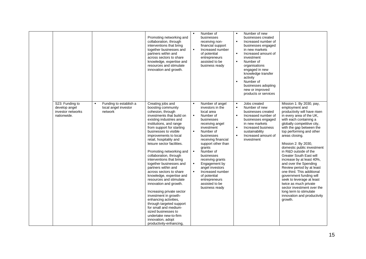|                                                                      |                                                           | Promoting networking and<br>collaboration, through<br>interventions that bring<br>together businesses and<br>partners within and<br>across sectors to share<br>knowledge, expertise and<br>resources and stimulate<br>innovation and growth.                                                                                                                                                                                                                                                                                                                                                                                                                                                                                                                                | $\blacksquare$                                                       | Number of<br>businesses<br>receiving non-<br>financial support<br>Increased number<br>of potential<br>entrepreneurs<br>assisted to be<br>business ready                                                                                                                                                                                                                     | п<br>$\blacksquare$<br>$\blacksquare$<br>$\blacksquare$<br>$\blacksquare$ | Number of new<br>businesses created<br>Increased number of<br>businesses engaged<br>in new markets<br>Increased amount of<br>investment<br>Number of<br>organisations<br>engaged in new<br>knowledge transfer<br>activity<br>Number of<br>businesses adopting<br>new or improved<br>products or services |                                                                                                                                                                                                                                                                                                                                                                                                                                                                                                                                                                                                                                                       |
|----------------------------------------------------------------------|-----------------------------------------------------------|-----------------------------------------------------------------------------------------------------------------------------------------------------------------------------------------------------------------------------------------------------------------------------------------------------------------------------------------------------------------------------------------------------------------------------------------------------------------------------------------------------------------------------------------------------------------------------------------------------------------------------------------------------------------------------------------------------------------------------------------------------------------------------|----------------------------------------------------------------------|-----------------------------------------------------------------------------------------------------------------------------------------------------------------------------------------------------------------------------------------------------------------------------------------------------------------------------------------------------------------------------|---------------------------------------------------------------------------|----------------------------------------------------------------------------------------------------------------------------------------------------------------------------------------------------------------------------------------------------------------------------------------------------------|-------------------------------------------------------------------------------------------------------------------------------------------------------------------------------------------------------------------------------------------------------------------------------------------------------------------------------------------------------------------------------------------------------------------------------------------------------------------------------------------------------------------------------------------------------------------------------------------------------------------------------------------------------|
| S23: Funding to<br>develop angel<br>investor networks<br>nationwide. | Funding to establish a<br>local angel investor<br>network | Creating jobs and<br>boosting community<br>cohesion, through<br>investments that build on<br>existing industries and<br>institutions, and range<br>from support for starting<br>businesses to visible<br>improvements to local<br>retail, hospitality and<br>leisure sector facilities.<br>Promoting networking and<br>collaboration, through<br>interventions that bring<br>together businesses and<br>partners within and<br>across sectors to share<br>knowledge, expertise and<br>resources and stimulate<br>innovation and growth.<br>Increasing private sector<br>investment in growth-<br>enhancing activities,<br>through targeted support<br>for small and medium-<br>sized businesses to<br>undertake new-to-firm<br>innovation, adopt<br>productivity-enhancing, | $\blacksquare$<br>$\blacksquare$<br>$\blacksquare$<br>$\blacksquare$ | Number of angel<br>investors in the<br>local area<br>Number of<br>businesses<br>receiving angel<br>investment<br>Number of<br>businesses<br>receiving financial<br>support other than<br>grants<br>Number of<br>businesses<br>receiving grants<br>Engagement by<br>angel investors<br>Increased number<br>of potential<br>entrepreneurs<br>assisted to be<br>business ready | $\blacksquare$<br>$\blacksquare$<br>$\blacksquare$<br>$\blacksquare$      | Jobs created<br>Number of new<br>businesses created<br>Increased number of<br>businesses engaged<br>in new markets<br>Increased business<br>sustainability<br>Increased amount of<br>investment                                                                                                          | Mission 1: By 2030, pay,<br>employment and<br>productivity will have risen<br>in every area of the UK,<br>with each containing a<br>globally competitive city,<br>with the gap between the<br>top performing and other<br>areas closing.<br>Mission 2: By 2030,<br>domestic public investment<br>in R&D outside of the<br>Greater South East will<br>increase by at least 40%,<br>and over the Spending<br>Review period by at least<br>one third. This additional<br>government funding will<br>seek to leverage at least<br>twice as much private<br>sector investment over the<br>long term to stimulate<br>innovation and productivity<br>growth. |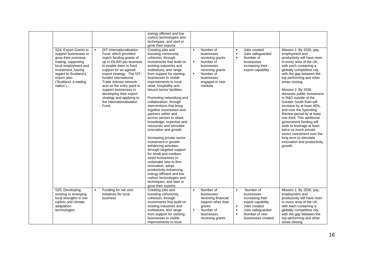|                                                                                                                                                                                                                         |                |                                                                                                                                                                                                                                                                                                                                                                                                     | energy efficient and low<br>carbon technologies and<br>techniques, and start or<br>grow their exports.                                                                                                                                                                                                                                                                                                                                                                                                                                                                                                                                                                                                                                                                                                                                                                                |                                                    |                                                                                                                                                    |                                                                      |                                                                                                                                             |                                                                                                                                                                                                                                                                                                                                                                                                                                                                                                                                                                                                                                                              |
|-------------------------------------------------------------------------------------------------------------------------------------------------------------------------------------------------------------------------|----------------|-----------------------------------------------------------------------------------------------------------------------------------------------------------------------------------------------------------------------------------------------------------------------------------------------------------------------------------------------------------------------------------------------------|---------------------------------------------------------------------------------------------------------------------------------------------------------------------------------------------------------------------------------------------------------------------------------------------------------------------------------------------------------------------------------------------------------------------------------------------------------------------------------------------------------------------------------------------------------------------------------------------------------------------------------------------------------------------------------------------------------------------------------------------------------------------------------------------------------------------------------------------------------------------------------------|----------------------------------------------------|----------------------------------------------------------------------------------------------------------------------------------------------------|----------------------------------------------------------------------|---------------------------------------------------------------------------------------------------------------------------------------------|--------------------------------------------------------------------------------------------------------------------------------------------------------------------------------------------------------------------------------------------------------------------------------------------------------------------------------------------------------------------------------------------------------------------------------------------------------------------------------------------------------------------------------------------------------------------------------------------------------------------------------------------------------------|
| S24: Export Grants to<br>support businesses to<br>grow their overseas<br>trading, supporting<br>local employment and<br>investment, having<br>regard to Scotland's<br>export plan<br>('Scotland: a trading<br>nation'). | $\blacksquare$ | <b>DIT Internationalisation</b><br>Fund, which provided<br>match funding grants of<br>up to £9,000 per business<br>to enable them to fund<br>support for an agreed<br>export strategy. The DIT-<br>funded International<br>Trade Adviser network<br>acts as the entry point to<br>support businesses in<br>developing their export<br>strategy and applying to<br>the Internationalisation<br>Fund. | Creating jobs and<br>boosting community<br>cohesion, through<br>investments that build on<br>existing industries and<br>institutions, and range<br>from support for starting<br>businesses to visible<br>improvements to local<br>retail, hospitality and<br>leisure sector facilities.<br>Promoting networking and<br>collaboration, through<br>interventions that bring<br>together businesses and<br>partners within and<br>across sectors to share<br>knowledge, expertise and<br>resources and stimulate<br>innovation and growth.<br>Increasing private sector<br>investment in growth-<br>enhancing activities,<br>through targeted support<br>for small and medium-<br>sized businesses to<br>undertake new-to-firm<br>innovation, adopt<br>productivity-enhancing,<br>energy efficient and low<br>carbon technologies and<br>techniques, and start or<br>grow their exports. | $\blacksquare$<br>$\blacksquare$<br>$\blacksquare$ | Number of<br>businesses<br>receiving grants<br>Number of<br>businesses<br>receiving grants<br>Number of<br>businesses<br>engaged in new<br>markets | $\blacksquare$                                                       | Jobs created<br>Jobs safeguarded<br>Number of<br>businesses<br>increasing their<br>export capability                                        | Mission 1: By 2030, pay,<br>employment and<br>productivity will have risen<br>in every area of the UK,<br>with each containing a<br>globally competitive city,<br>with the gap between the<br>top performing and other<br>areas closing.<br>Mission 2: By 2030,<br>domestic public investment<br>in R&D outside of the<br><b>Greater South East will</b><br>increase by at least 40%,<br>and over the Spending<br>Review period by at least<br>one third. This additional<br>government funding will<br>seek to leverage at least<br>twice as much private<br>sector investment over the<br>long term to stimulate<br>innovation and productivity<br>growth. |
| S25: Developing<br>existing or emerging<br>local strengths in low<br>carbon and climate<br>adaptation<br>technologies.                                                                                                  | $\blacksquare$ | Funding for net zero<br>initiatives for local<br>business                                                                                                                                                                                                                                                                                                                                           | Creating jobs and<br>boosting community<br>cohesion, through<br>investments that build on<br>existing industries and<br>institutions, and range<br>from support for starting<br>businesses to visible<br>improvements to local                                                                                                                                                                                                                                                                                                                                                                                                                                                                                                                                                                                                                                                        | $\blacksquare$<br>$\blacksquare$                   | Number of<br>businesses<br>receiving financial<br>support other than<br>grants<br>Number of<br>businesses<br>receiving grants                      | $\blacksquare$<br>$\blacksquare$<br>$\blacksquare$<br>$\blacksquare$ | Number of<br>businesses<br>increasing their<br>export capability<br>Jobs created<br>Jobs safeguarded<br>Number of new<br>businesses created | Mission 1: By 2030, pay,<br>employment and<br>productivity will have risen<br>in every area of the UK,<br>with each containing a<br>globally competitive city,<br>with the gap between the<br>top performing and other<br>areas closing.                                                                                                                                                                                                                                                                                                                                                                                                                     |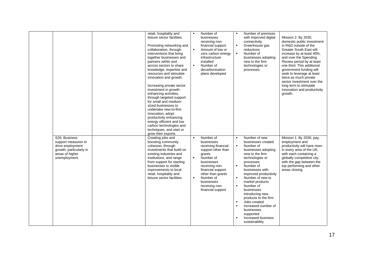|                                                                                                                         | retail, hospitality and<br>leisure sector facilities.<br>Promoting networking and<br>collaboration, through<br>interventions that bring<br>together businesses and<br>partners within and<br>across sectors to share<br>knowledge, expertise and<br>resources and stimulate<br>innovation and growth.<br>Increasing private sector<br>investment in growth-<br>enhancing activities,<br>through targeted support<br>for small and medium-<br>sized businesses to<br>undertake new-to-firm<br>innovation, adopt<br>productivity enhancing,<br>energy efficient and low<br>carbon technologies and<br>techniques, and start or<br>grow their exports. | $\blacksquare$<br>$\blacksquare$                   | Number of<br>businesses<br>receiving non-<br>financial support<br>Amount of low or<br>zero carbon energy<br>infrastructure<br>installed<br>Number of<br>decarbonisation<br>plans developed                                              | $\blacksquare$<br>$\blacksquare$                                                    | Number of premises<br>with improved digital<br>connectivity<br>Greenhouse gas<br>reductions<br>Number of<br>businesses adopting<br>new to the firm<br>technologies or<br>processes                                                                                                                                                                                                                         | Mission 2: By 2030,<br>domestic public investment<br>in R&D outside of the<br><b>Greater South East will</b><br>increase by at least 40%,<br>and over the Spending<br>Review period by at least<br>one third. This additional<br>government funding will<br>seek to leverage at least<br>twice as much private<br>sector investment over the<br>long term to stimulate<br>innovation and productivity<br>growth. |
|-------------------------------------------------------------------------------------------------------------------------|-----------------------------------------------------------------------------------------------------------------------------------------------------------------------------------------------------------------------------------------------------------------------------------------------------------------------------------------------------------------------------------------------------------------------------------------------------------------------------------------------------------------------------------------------------------------------------------------------------------------------------------------------------|----------------------------------------------------|-----------------------------------------------------------------------------------------------------------------------------------------------------------------------------------------------------------------------------------------|-------------------------------------------------------------------------------------|------------------------------------------------------------------------------------------------------------------------------------------------------------------------------------------------------------------------------------------------------------------------------------------------------------------------------------------------------------------------------------------------------------|------------------------------------------------------------------------------------------------------------------------------------------------------------------------------------------------------------------------------------------------------------------------------------------------------------------------------------------------------------------------------------------------------------------|
| S26: Business<br>support measures to<br>drive employment<br>growth, particularly in<br>areas of higher<br>unemployment. | Creating jobs and<br>boosting community<br>cohesion, through<br>investments that build on<br>existing industries and<br>institutions, and range<br>from support for starting<br>businesses to visible<br>improvements to local<br>retail, hospitality and<br>leisure sector facilities.                                                                                                                                                                                                                                                                                                                                                             | $\blacksquare$<br>$\blacksquare$<br>$\blacksquare$ | Number of<br>businesses<br>receiving financial<br>support other than<br>grants<br>Number of<br>businesses<br>receiving non-<br>financial support<br>other than grants<br>Number of<br>businesses<br>receiving non-<br>financial support | $\blacksquare$<br>$\blacksquare$<br>×<br>$\blacksquare$<br>$\blacksquare$<br>×<br>× | Number of new<br>businesses created<br>Number of<br>businesses adopting<br>new to the firm<br>technologies or<br>processes<br>Number of<br>businesses with<br>improved productivity<br>Number of new to<br>market products<br>Number of<br>businesses<br>introducing new<br>products to the firm<br>Jobs created<br>Increased number of<br>businesses<br>supported<br>Increased business<br>sustainability | Mission 1: By 2030, pay,<br>employment and<br>productivity will have risen<br>in every area of the UK.<br>with each containing a<br>globally competitive city,<br>with the gap between the<br>top performing and other<br>areas closing.                                                                                                                                                                         |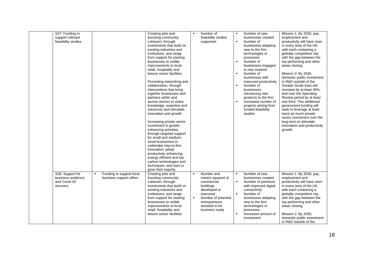| S27: Funding to<br>support relevant<br>feasibility studies.         |                                                     | Creating jobs and<br>boosting community<br>cohesion, through<br>investments that build on<br>existing industries and<br>institutions, and range<br>from support for starting<br>businesses to visible<br>improvements to local<br>retail, hospitality and<br>leisure sector facilities.<br>Promoting networking and<br>collaboration, through<br>interventions that bring<br>together businesses and<br>partners within and<br>across sectors to share<br>knowledge, expertise and<br>resources and stimulate<br>innovation and growth.<br>Increasing private sector<br>investment in growth-<br>enhancing activities,<br>through targeted support<br>for small and medium-<br>sized businesses to<br>undertake new-to-firm<br>innovation, adopt<br>productivity enhancing,<br>energy efficient and low<br>carbon technologies and<br>techniques, and start or<br>grow their exports. | $\blacksquare$ | Number of<br>feasibility studies<br>supported                                                                                                                      | $\blacksquare$<br>$\blacksquare$<br>$\blacksquare$<br>$\blacksquare$<br>$\blacksquare$ | Number of new<br>businesses created<br>Number of<br>businesses adopting<br>new to the firm<br>technologies or<br>processes<br>Number of<br>businesses engaged<br>in new markets<br>Number of<br>businesses with<br>improved productivity<br>Number of<br>businesses<br>introducing new<br>products to the firm<br>Increased number of<br>projects arising from<br>funded feasibility<br>studies | Mission 1: By 2030, pay,<br>employment and<br>productivity will have risen<br>in every area of the UK,<br>with each containing a<br>globally competitive city,<br>with the gap between the<br>top performing and other<br>areas closing.<br>Mission 2: By 2030,<br>domestic public investment<br>in R&D outside of the<br>Greater South East will<br>increase by at least 40%.<br>and over the Spending<br>Review period by at least<br>one third. This additional<br>government funding will<br>seek to leverage at least<br>twice as much private<br>sector investment over the<br>long term to stimulate<br>innovation and productivity<br>growth. |
|---------------------------------------------------------------------|-----------------------------------------------------|---------------------------------------------------------------------------------------------------------------------------------------------------------------------------------------------------------------------------------------------------------------------------------------------------------------------------------------------------------------------------------------------------------------------------------------------------------------------------------------------------------------------------------------------------------------------------------------------------------------------------------------------------------------------------------------------------------------------------------------------------------------------------------------------------------------------------------------------------------------------------------------|----------------|--------------------------------------------------------------------------------------------------------------------------------------------------------------------|----------------------------------------------------------------------------------------|-------------------------------------------------------------------------------------------------------------------------------------------------------------------------------------------------------------------------------------------------------------------------------------------------------------------------------------------------------------------------------------------------|-------------------------------------------------------------------------------------------------------------------------------------------------------------------------------------------------------------------------------------------------------------------------------------------------------------------------------------------------------------------------------------------------------------------------------------------------------------------------------------------------------------------------------------------------------------------------------------------------------------------------------------------------------|
| S28: Support for<br>business resilience<br>and Covid-19<br>recovery | Funding to support local<br>business support offers | Creating jobs and<br>boosting community<br>cohesion, through<br>investments that build on<br>existing industries and<br>institutions, and range<br>from support for starting<br>businesses to visible<br>improvements to local<br>retail, hospitality and<br>leisure sector facilities.                                                                                                                                                                                                                                                                                                                                                                                                                                                                                                                                                                                               |                | Number and<br>meters squared of<br>commercial<br>buildings<br>developed or<br>improved<br>Number of potential<br>entrepreneurs<br>assisted to be<br>business ready | $\blacksquare$<br>$\blacksquare$<br>$\blacksquare$                                     | Number of new<br>businesses created<br>Number of premises<br>with improved digital<br>connectivity<br>Number of<br>businesses adopting<br>new to the firm<br>technologies or<br>processes<br>Increased amount of<br>investment                                                                                                                                                                  | Mission 1: By 2030, pay,<br>employment and<br>productivity will have risen<br>in every area of the UK,<br>with each containing a<br>globally competitive city,<br>with the gap between the<br>top performing and other<br>areas closing.<br>Mission 2: By 2030,<br>domestic public investment<br>in R&D outside of the                                                                                                                                                                                                                                                                                                                                |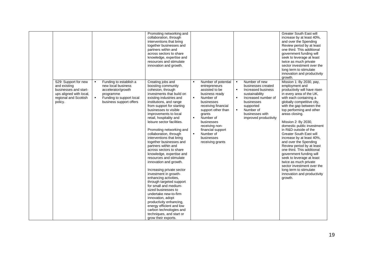|                         |                                                                                                                                       |                                                                                                                                        | Promoting networking and<br>collaboration, through<br>interventions that bring<br>together businesses and<br>partners within and<br>across sectors to share<br>knowledge, expertise and<br>resources and stimulate<br>innovation and growth.                                                                                                                                                                                                                                                                                                                                                                                                                                                                                                                                                                                                                                          |                                                    |                                                                                                                                                                                                                                                                             |                                                    |                                                                                                                                                                                        | <b>Greater South East will</b><br>increase by at least 40%.<br>and over the Spending<br>Review period by at least<br>one third. This additional<br>government funding will<br>seek to leverage at least<br>twice as much private<br>sector investment over the<br>long term to stimulate<br>innovation and productivity<br>growth.                                                                                                                                                                                                                                                                                                                           |
|-------------------------|---------------------------------------------------------------------------------------------------------------------------------------|----------------------------------------------------------------------------------------------------------------------------------------|---------------------------------------------------------------------------------------------------------------------------------------------------------------------------------------------------------------------------------------------------------------------------------------------------------------------------------------------------------------------------------------------------------------------------------------------------------------------------------------------------------------------------------------------------------------------------------------------------------------------------------------------------------------------------------------------------------------------------------------------------------------------------------------------------------------------------------------------------------------------------------------|----------------------------------------------------|-----------------------------------------------------------------------------------------------------------------------------------------------------------------------------------------------------------------------------------------------------------------------------|----------------------------------------------------|----------------------------------------------------------------------------------------------------------------------------------------------------------------------------------------|--------------------------------------------------------------------------------------------------------------------------------------------------------------------------------------------------------------------------------------------------------------------------------------------------------------------------------------------------------------------------------------------------------------------------------------------------------------------------------------------------------------------------------------------------------------------------------------------------------------------------------------------------------------|
| and existing<br>policy. | S29: Support for new<br>$\blacksquare$<br>businesses and start-<br>ups aligned with local,<br>regional and Scottish<br>$\blacksquare$ | Funding to establish a<br>new local business<br>accelerator/growth<br>programme<br>Funding to support local<br>business support offers | Creating jobs and<br>boosting community<br>cohesion, through<br>investments that build on<br>existing industries and<br>institutions, and range<br>from support for starting<br>businesses to visible<br>improvements to local<br>retail, hospitality and<br>leisure sector facilities.<br>Promoting networking and<br>collaboration, through<br>interventions that bring<br>together businesses and<br>partners within and<br>across sectors to share<br>knowledge, expertise and<br>resources and stimulate<br>innovation and growth.<br>Increasing private sector<br>investment in growth-<br>enhancing activities,<br>through targeted support<br>for small and medium-<br>sized businesses to<br>undertake new-to-firm<br>innovation, adopt<br>productivity enhancing.<br>energy efficient and low<br>carbon technologies and<br>techniques, and start or<br>grow their exports. | $\blacksquare$<br>$\blacksquare$<br>$\blacksquare$ | Number of potential<br>entrepreneurs<br>assisted to be<br>business ready<br>Number of<br>businesses<br>receiving financial<br>support other than<br>grants<br>Number of<br>businesses<br>receiving non-<br>financial support<br>Number of<br>businesses<br>receiving grants | $\blacksquare$<br>$\blacksquare$<br>$\blacksquare$ | Number of new<br>businesses created<br>Increased business<br>sustainability<br>Increased number of<br>businesses<br>supported<br>Number of<br>businesses with<br>improved productivity | Mission 1: By 2030, pay,<br>employment and<br>productivity will have risen<br>in every area of the UK,<br>with each containing a<br>globally competitive city,<br>with the gap between the<br>top performing and other<br>areas closing.<br>Mission 2: By 2030,<br>domestic public investment<br>in R&D outside of the<br><b>Greater South East will</b><br>increase by at least 40%,<br>and over the Spending<br>Review period by at least<br>one third. This additional<br>government funding will<br>seek to leverage at least<br>twice as much private<br>sector investment over the<br>long term to stimulate<br>innovation and productivity<br>growth. |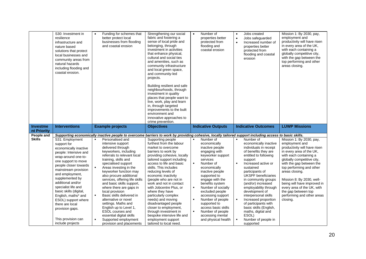|                                | S30: Investment in<br>resilience<br>infrastructure and<br>nature based<br>solutions that protect<br>local businesses and<br>community areas from<br>natural hazards<br>including flooding and<br>coastal erosion.                                                                                                                                                                                                         | Funding for schemes that<br>$\bullet$<br>better protect local<br>businesses from flooding<br>and coastal erosion                                                                                                                                                                                                                                                                                                                                                                                                                                                                                                                     | Strengthening our social<br>fabric and fostering a<br>sense of local pride and<br>belonging, through<br>investment in activities<br>that enhance physical,<br>cultural and social ties<br>and amenities, such as<br>community infrastructure<br>and local green space,<br>and community-led<br>projects.<br>Building resilient and safe<br>neighbourhoods, through<br>investment in quality<br>places that people want to<br>live, work, play and learn<br>in, through targeted<br>improvements to the built<br>environment and<br>innovative approaches to<br>crime prevention. | Number of<br>$\bullet$<br>properties better<br>protected from<br>flooding and<br>coastal erosion                                                                                                                                                                                                                                                                                                                                                   | Jobs created<br>$\bullet$<br>Jobs safeguarded<br>$\bullet$<br>Increased number of<br>$\bullet$<br>properties better<br>protected from<br>flooding and coastal<br>erosion                                                                                                                                                                                                                                                                                                                                                                           | Mission 1: By 2030, pay,<br>employment and<br>productivity will have risen<br>in every area of the UK,<br>with each containing a<br>globally competitive city,<br>with the gap between the<br>top performing and other<br>areas closing.                                                                                                                                                            |
|--------------------------------|---------------------------------------------------------------------------------------------------------------------------------------------------------------------------------------------------------------------------------------------------------------------------------------------------------------------------------------------------------------------------------------------------------------------------|--------------------------------------------------------------------------------------------------------------------------------------------------------------------------------------------------------------------------------------------------------------------------------------------------------------------------------------------------------------------------------------------------------------------------------------------------------------------------------------------------------------------------------------------------------------------------------------------------------------------------------------|----------------------------------------------------------------------------------------------------------------------------------------------------------------------------------------------------------------------------------------------------------------------------------------------------------------------------------------------------------------------------------------------------------------------------------------------------------------------------------------------------------------------------------------------------------------------------------|----------------------------------------------------------------------------------------------------------------------------------------------------------------------------------------------------------------------------------------------------------------------------------------------------------------------------------------------------------------------------------------------------------------------------------------------------|----------------------------------------------------------------------------------------------------------------------------------------------------------------------------------------------------------------------------------------------------------------------------------------------------------------------------------------------------------------------------------------------------------------------------------------------------------------------------------------------------------------------------------------------------|-----------------------------------------------------------------------------------------------------------------------------------------------------------------------------------------------------------------------------------------------------------------------------------------------------------------------------------------------------------------------------------------------------|
| <b>Investme</b><br>nt Priority | <b>Interventions</b>                                                                                                                                                                                                                                                                                                                                                                                                      | <b>Example projects</b>                                                                                                                                                                                                                                                                                                                                                                                                                                                                                                                                                                                                              | <b>Objectives</b>                                                                                                                                                                                                                                                                                                                                                                                                                                                                                                                                                                | <b>Indicative Outputs</b>                                                                                                                                                                                                                                                                                                                                                                                                                          | <b>Indicative Outcomes</b>                                                                                                                                                                                                                                                                                                                                                                                                                                                                                                                         | <b>LUWP Missions</b>                                                                                                                                                                                                                                                                                                                                                                                |
| People and                     |                                                                                                                                                                                                                                                                                                                                                                                                                           | Supporting economically inactive people to overcome barriers to work by providing cohesive, locally tailored support including access to basic skills.                                                                                                                                                                                                                                                                                                                                                                                                                                                                               |                                                                                                                                                                                                                                                                                                                                                                                                                                                                                                                                                                                  |                                                                                                                                                                                                                                                                                                                                                                                                                                                    |                                                                                                                                                                                                                                                                                                                                                                                                                                                                                                                                                    |                                                                                                                                                                                                                                                                                                                                                                                                     |
| <b>Skills</b>                  | S31: Employment<br>support for<br>economically inactive<br>people: Intensive and<br>wrap-around one-to-<br>one support to move<br>people closer towards<br>mainstream provision<br>and employment,<br>supplemented by<br>additional and/or<br>specialist life and<br>basic skills (digital,<br>English, maths* and<br>ESOL) support where<br>there are local<br>provision gaps.<br>This provision can<br>include projects | Personalised and<br>$\blacksquare$<br>intensive support<br>delivered through<br>keyworkers, including<br>referrals to relevant local<br>training, skills and<br>specialised support<br>$\blacksquare$<br>Areas investing in the<br>keyworker function may<br>also procure additional<br>services, offering life skills<br>and basic skills support,<br>where there are gaps in<br>local provision<br>Basic skills delivered in<br>alternative or novel<br>settings. Maths and<br>English up to Level 1,<br><b>ESOL</b> courses and<br>essential digital skills<br>Supported employment<br>$\blacksquare$<br>provision and placements | Supporting people<br>furthest from the labour<br>market to overcome<br>barriers to work by<br>providing cohesive, locally<br>tailored support including<br>access to life and basic<br>skills. This includes<br>reducing levels of<br>economic inactivity<br>(people who are not in<br>work and not in contact<br>with Jobcentre Plus, or<br>where they have<br>particularly complex<br>needs) and moving<br>disadvantaged people<br>closer to employment,<br>through investment in<br>bespoke intensive life and<br>employment support<br>tailored to local need.               | Number of<br>$\blacksquare$<br>economically<br>inactive people<br>engaging with<br>keyworker support<br>services<br>$\blacksquare$<br>Number of<br>economically<br>inactive people<br>supported to<br>engage with the<br>benefits system<br>Number of socially<br>excluded people<br>accessing support<br>Number of people<br>supported to<br>access basic skills<br>$\blacksquare$<br>Number of people<br>accessing mental<br>and physical health | $\blacksquare$<br>Number of<br>economically inactive<br>individuals in receipt<br>of benefits they are<br>entitled to following<br>support<br>$\blacksquare$<br>Increased active or<br>sustained<br>participants of<br><b>UKSPF</b> beneficiaries<br>in community groups<br>(and/or) increased<br>employability through<br>development of<br>interpersonal skills<br>$\blacksquare$<br>Increased proportion<br>of participants with<br>basic skills (English,<br>maths, digital and<br>ESOL)<br>$\blacksquare$<br>Number of people in<br>supported | Mission 1: By 2030, pay,<br>employment and<br>productivity will have risen<br>in every area of the UK,<br>with each containing a<br>globally competitive city,<br>with the gap between the<br>top performing and other<br>areas closing.<br>Mission 8: By 2030, well-<br>being will have improved in<br>every area of the UK, with<br>the gap between top<br>performing and other areas<br>closing. |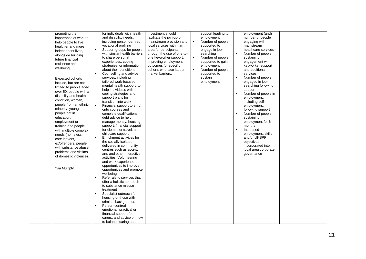| promoting the          | for individuals with health                     | Investment should          |                | support leading to |                | employment (and)                      |  |
|------------------------|-------------------------------------------------|----------------------------|----------------|--------------------|----------------|---------------------------------------|--|
| importance of work to  | and disability needs,                           | facilitate the join-up of  |                | employment         |                | number of people                      |  |
| help people to live    | including person-centred                        | mainstream provision and   | $\blacksquare$ | Number of people   |                | engaging with                         |  |
| healthier and more     | vocational profiling                            | local services within an   |                | supported to       |                | mainstream                            |  |
| independent lives,     | $\blacksquare$<br>Support groups for people     | area for participants,     |                | engage in job-     |                | healthcare services                   |  |
| alongside building     | with similar health barriers                    | through the use of one-to- |                | searching          | ٠              | Number of people                      |  |
| future financial       | to share personal                               | one keyworker support,     | $\blacksquare$ | Number of people   |                | sustaining                            |  |
| resilience and         | experiences, coping                             | improving employment       |                | supported to gain  |                | engagement with                       |  |
|                        | strategies, or information                      | outcomes for specific      |                | employment         |                | keyworker support                     |  |
| wellbeing.             | about their conditions                          | cohorts who face labour    | $\blacksquare$ | Number of people   |                | and additional                        |  |
|                        | Counselling and advice<br>$\blacksquare$        | market barriers.           |                | supported to       |                | services                              |  |
| Expected cohorts       | services, including                             |                            |                | sustain            | $\blacksquare$ | Number of people                      |  |
| include, but are not   | tailored work-focused                           |                            |                | employment         |                | engaged in job-                       |  |
| limited to people aged | mental health support, to                       |                            |                |                    |                | searching following                   |  |
| over 50, people with a | help individuals with                           |                            |                |                    |                | support                               |  |
| disability and health  | coping strategies and                           |                            |                |                    | $\blacksquare$ | Number of people in                   |  |
| condition, women,      | support plans for                               |                            |                |                    |                | employment,                           |  |
| people from an ethnic  | transition into work                            |                            |                |                    |                | including self-                       |  |
| minority, young        | $\blacksquare$<br>Financial support to enrol    |                            |                |                    |                | employment,                           |  |
| people not in          | onto courses and                                |                            |                |                    |                | following support<br>Number of people |  |
| education,             | complete qualifications,<br>debt advice to help |                            |                |                    |                | sustaining                            |  |
| employment or          | manage money, housing                           |                            |                |                    |                | employment for 6                      |  |
|                        | support, financial support                      |                            |                |                    |                | months                                |  |
| training and people    | for clothes or travel, and                      |                            |                |                    | $\blacksquare$ | Increased                             |  |
| with multiple complex  | childcare support                               |                            |                |                    |                | employment, skills                    |  |
| needs (homeless,       | $\blacksquare$<br>Enrichment activities for     |                            |                |                    |                | and/or UKSPF                          |  |
| care leavers,          | the socially isolated                           |                            |                |                    |                | objectives                            |  |
| ex/offenders, people   | delivered in community                          |                            |                |                    |                | incorporated into                     |  |
| with substance abuse   | centres such as sports,                         |                            |                |                    |                | local area corporate                  |  |
| problems and victims   | arts and other interactive                      |                            |                |                    |                | governance                            |  |
| of domestic violence). | activities. Volunteering                        |                            |                |                    |                |                                       |  |
|                        | and work experience                             |                            |                |                    |                |                                       |  |
|                        | opportunities to improve                        |                            |                |                    |                |                                       |  |
| *via Multiply.         | opportunities and promote                       |                            |                |                    |                |                                       |  |
|                        | wellbeing                                       |                            |                |                    |                |                                       |  |
|                        | Referrals to services that<br>$\blacksquare$    |                            |                |                    |                |                                       |  |
|                        | offer a holistic approach                       |                            |                |                    |                |                                       |  |
|                        | to substance misuse                             |                            |                |                    |                |                                       |  |
|                        | treatment                                       |                            |                |                    |                |                                       |  |
|                        | Specialist outreach for                         |                            |                |                    |                |                                       |  |
|                        | housing or those with                           |                            |                |                    |                |                                       |  |
|                        | criminal backgrounds<br>Person-centred          |                            |                |                    |                |                                       |  |
|                        | emotional, practical or                         |                            |                |                    |                |                                       |  |
|                        | financial support for                           |                            |                |                    |                |                                       |  |
|                        | carers, and advice on how                       |                            |                |                    |                |                                       |  |
|                        | to balance caring and                           |                            |                |                    |                |                                       |  |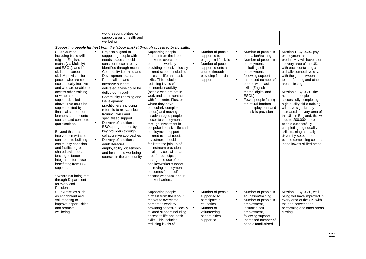|                                                                                                                                                                                                                                                                                                                                                                                                                                                                                                                                                                                                                                                                                                                                                          |                                                    | work responsibilities, or<br>support around health and<br>wellbeing                                                                                                                                                                                                                                                                                                                                                                                                                                                                                                                                                                                                  |                                                                                                                                                                                                                                                                                                                                                                                                                                                                                                                                                                                                                                                                                                                                                                                                                                                                |                                  |                                                                                                                                                       |                                  |                                                                                                                                                                                                                                                                                                                                     |                                                                                                                                                                                                                                                                                                                                                                                                                                                                                                                                                                                                                                           |
|----------------------------------------------------------------------------------------------------------------------------------------------------------------------------------------------------------------------------------------------------------------------------------------------------------------------------------------------------------------------------------------------------------------------------------------------------------------------------------------------------------------------------------------------------------------------------------------------------------------------------------------------------------------------------------------------------------------------------------------------------------|----------------------------------------------------|----------------------------------------------------------------------------------------------------------------------------------------------------------------------------------------------------------------------------------------------------------------------------------------------------------------------------------------------------------------------------------------------------------------------------------------------------------------------------------------------------------------------------------------------------------------------------------------------------------------------------------------------------------------------|----------------------------------------------------------------------------------------------------------------------------------------------------------------------------------------------------------------------------------------------------------------------------------------------------------------------------------------------------------------------------------------------------------------------------------------------------------------------------------------------------------------------------------------------------------------------------------------------------------------------------------------------------------------------------------------------------------------------------------------------------------------------------------------------------------------------------------------------------------------|----------------------------------|-------------------------------------------------------------------------------------------------------------------------------------------------------|----------------------------------|-------------------------------------------------------------------------------------------------------------------------------------------------------------------------------------------------------------------------------------------------------------------------------------------------------------------------------------|-------------------------------------------------------------------------------------------------------------------------------------------------------------------------------------------------------------------------------------------------------------------------------------------------------------------------------------------------------------------------------------------------------------------------------------------------------------------------------------------------------------------------------------------------------------------------------------------------------------------------------------------|
|                                                                                                                                                                                                                                                                                                                                                                                                                                                                                                                                                                                                                                                                                                                                                          |                                                    |                                                                                                                                                                                                                                                                                                                                                                                                                                                                                                                                                                                                                                                                      | Supporting people furthest from the labour market through access to basic skills.                                                                                                                                                                                                                                                                                                                                                                                                                                                                                                                                                                                                                                                                                                                                                                              |                                  |                                                                                                                                                       |                                  |                                                                                                                                                                                                                                                                                                                                     |                                                                                                                                                                                                                                                                                                                                                                                                                                                                                                                                                                                                                                           |
| S32: Courses<br>including basic skills<br>(digital, English,<br>maths (via Multiply)<br>and ESOL), and life<br>skills and career<br>skills** provision for<br>people who are not<br>economically inactive<br>and who are unable to<br>access other training<br>or wrap around<br>support detailed<br>above. This could be<br>supplemented by<br>financial support for<br>learners to enrol onto<br>courses and complete<br>qualifications.<br>Beyond that, this<br>intervention will also<br>contribute to building<br>community cohesion<br>and facilitate greater<br>shared civil pride,<br>leading to better<br>integration for those<br>benefitting from ESOL<br>support.<br>**where not being met<br>through Department<br>for Work and<br>Pensions | $\blacksquare$<br>$\blacksquare$<br>$\blacksquare$ | Projects aligned to<br>supporting people with<br>needs, places should<br>consider those already<br>identified through recent<br>Community Learning and<br>Development plans.<br>Personalised and<br>intensive support<br>delivered, these could be<br>delivered through<br>Community Learning and<br>Development<br>practitioners, including<br>referrals to relevant local<br>training, skills and<br>specialised support<br>Delivery of additional<br>ESOL programmes by<br>key providers through<br>collaborative approaches<br>Delivery of additional<br>adult literacies,<br>employability, citizenship<br>and health and wellbeing<br>courses in the community | Supporting people<br>furthest from the labour<br>market to overcome<br>barriers to work by<br>providing cohesive, locally<br>tailored support including<br>access to life and basic<br>skills. This includes<br>reducing levels of<br>economic inactivity<br>(people who are not in<br>work and not in contact<br>with Jobcentre Plus, or<br>where they have<br>particularly complex<br>needs) and moving<br>disadvantaged people<br>closer to employment,<br>through investment in<br>bespoke intensive life and<br>employment support<br>tailored to local need.<br>Investment should<br>facilitate the join-up of<br>mainstream provision and<br>local services within an<br>area for participants,<br>through the use of one-to-<br>one keyworker support,<br>improving employment<br>outcomes for specific<br>cohorts who face labour<br>market barriers. | $\blacksquare$<br>$\blacksquare$ | Number of people<br>supported to<br>engage in life skills<br>Number of people<br>supported onto a<br>course through<br>providing financial<br>support | $\blacksquare$<br>$\blacksquare$ | Number of people in<br>education/training<br>Number of people in<br>employment,<br>including self-<br>employment,<br>following support<br>Increased number of<br>people with basic<br>skills (English,<br>maths, digital and<br>ESOL)<br>Fewer people facing<br>structural barriers<br>into employment and<br>into skills provision | Mission 1: By 2030, pay,<br>employment and<br>productivity will have risen<br>in every area of the UK,<br>with each containing a<br>globally competitive city,<br>with the gap between the<br>top performing and other<br>areas closing.<br>Mission 6: By 2030, the<br>number of people<br>successfully completing<br>high-quality skills training<br>will have significantly<br>increased in every area of<br>the UK. In England, this will<br>lead to 200,000 more<br>people successfully<br>completing high-quality<br>skills training annually,<br>driven by 80,000 more<br>people completing courses<br>in the lowest skilled areas. |
| S33: Activities such<br>as enrichment and<br>volunteering to<br>improve opportunities<br>and promote<br>wellbeing.                                                                                                                                                                                                                                                                                                                                                                                                                                                                                                                                                                                                                                       |                                                    |                                                                                                                                                                                                                                                                                                                                                                                                                                                                                                                                                                                                                                                                      | Supporting people<br>furthest from the labour<br>market to overcome<br>barriers to work by<br>providing cohesive, locally<br>tailored support including<br>access to life and basic                                                                                                                                                                                                                                                                                                                                                                                                                                                                                                                                                                                                                                                                            | $\blacksquare$<br>$\blacksquare$ | Number of people<br>supported to<br>participate in<br>education<br>Number of<br>volunteering<br>opportunities                                         | $\blacksquare$<br>$\blacksquare$ | Number of people in<br>education/training<br>Number of people in<br>employment,<br>including self-<br>employment,<br>following support                                                                                                                                                                                              | Mission 8: By 2030, well-<br>being will have improved in<br>every area of the UK, with<br>the gap between top<br>performing and other areas<br>closing.                                                                                                                                                                                                                                                                                                                                                                                                                                                                                   |
|                                                                                                                                                                                                                                                                                                                                                                                                                                                                                                                                                                                                                                                                                                                                                          |                                                    |                                                                                                                                                                                                                                                                                                                                                                                                                                                                                                                                                                                                                                                                      | skills. This includes<br>reducing levels of                                                                                                                                                                                                                                                                                                                                                                                                                                                                                                                                                                                                                                                                                                                                                                                                                    |                                  | supported                                                                                                                                             |                                  | Increased number of<br>people familiarised                                                                                                                                                                                                                                                                                          |                                                                                                                                                                                                                                                                                                                                                                                                                                                                                                                                                                                                                                           |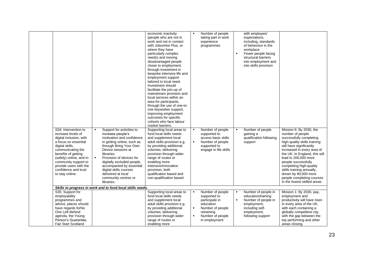| S34: Intervention to<br>increase levels of<br>digital inclusion, with<br>a focus on essential<br>digital skills,<br>communicating the<br>benefits of getting<br>(safely) online, and in-<br>community support to<br>provide users with the<br>confidence and trust<br>to stay online. | Support for activities to<br>increase people's<br>motivation and confidence<br>in getting online, such as<br>through Bring Your Own<br>Device sessions at<br>libraries.<br>Provision of devices for<br>$\blacksquare$<br>digitally excluded people,<br>accompanied by essential<br>digital skills courses<br>delivered at local<br>community centres or<br>libraries. | economic inactivity<br>(people who are not in<br>work and not in contact<br>with Jobcentre Plus, or<br>where they have<br>particularly complex<br>needs) and moving<br>disadvantaged people<br>closer to employment,<br>through investment in<br>bespoke intensive life and<br>employment support<br>tailored to local need.<br>Investment should<br>facilitate the join-up of<br>mainstream provision and<br>local services within an<br>area for participants,<br>through the use of one-to-<br>one keyworker support,<br>improving employment<br>outcomes for specific<br>cohorts who face labour<br>market barriers.<br>Supporting local areas to<br>fund local skills needs<br>and supplement local<br>adult skills provision e.g.<br>by providing additional<br>volumes; delivering<br>provision through wider<br>range of routes or<br>enabling more<br>intensive/innovative<br>provision, both<br>qualification based and<br>non-qualification based. | $\blacksquare$                                     | Number of people<br>taking part in work<br>experience<br>programmes<br>Number of people<br>supported to<br>access basic skills<br>Number of people<br>supported to<br>engage in life skills | $\blacksquare$ | with employers'<br>expectations,<br>including, standards<br>of behaviour in the<br>workplace<br>Fewer people facing<br>structural barriers<br>into employment and<br>into skills provision<br>Number of people<br>gaining a<br>qualification following<br>support | Mission 6: By 2030, the<br>number of people<br>successfully completing<br>high-quality skills training<br>will have significantly<br>increased in every area of<br>the UK. In England, this will<br>lead to 200,000 more<br>people successfully<br>completing high-quality<br>skills training annually,<br>driven by 80,000 more<br>people completing courses<br>in the lowest skilled areas. |
|---------------------------------------------------------------------------------------------------------------------------------------------------------------------------------------------------------------------------------------------------------------------------------------|-----------------------------------------------------------------------------------------------------------------------------------------------------------------------------------------------------------------------------------------------------------------------------------------------------------------------------------------------------------------------|---------------------------------------------------------------------------------------------------------------------------------------------------------------------------------------------------------------------------------------------------------------------------------------------------------------------------------------------------------------------------------------------------------------------------------------------------------------------------------------------------------------------------------------------------------------------------------------------------------------------------------------------------------------------------------------------------------------------------------------------------------------------------------------------------------------------------------------------------------------------------------------------------------------------------------------------------------------|----------------------------------------------------|---------------------------------------------------------------------------------------------------------------------------------------------------------------------------------------------|----------------|-------------------------------------------------------------------------------------------------------------------------------------------------------------------------------------------------------------------------------------------------------------------|-----------------------------------------------------------------------------------------------------------------------------------------------------------------------------------------------------------------------------------------------------------------------------------------------------------------------------------------------------------------------------------------------|
|                                                                                                                                                                                                                                                                                       | Skills to progress in work and to fund local skills needs.                                                                                                                                                                                                                                                                                                            |                                                                                                                                                                                                                                                                                                                                                                                                                                                                                                                                                                                                                                                                                                                                                                                                                                                                                                                                                               |                                                    |                                                                                                                                                                                             |                |                                                                                                                                                                                                                                                                   |                                                                                                                                                                                                                                                                                                                                                                                               |
| S35: Support for<br>employability<br>programmes and<br>advice, places should<br>have regards forNo<br>One Left Behind<br>agenda, the Young<br>Person's Guarantee,<br>Fair Start Scotland                                                                                              |                                                                                                                                                                                                                                                                                                                                                                       | Supporting local areas to<br>fund local skills needs<br>and supplement local<br>adult skills provision e.g.<br>by providing additional<br>volumes; delivering<br>provision through wider<br>range of routes or<br>enabling more                                                                                                                                                                                                                                                                                                                                                                                                                                                                                                                                                                                                                                                                                                                               | $\blacksquare$<br>$\blacksquare$<br>$\blacksquare$ | Number of people<br>supported to<br>participate in<br>education<br>Number of people<br>retraining<br>Number of people<br>in employment                                                      | $\blacksquare$ | Number of people in<br>education/training<br>Number of people in<br>employment,<br>including self-<br>employment,<br>following support                                                                                                                            | Mission 1: By 2030, pay,<br>employment and<br>productivity will have risen<br>in every area of the UK,<br>with each containing a<br>globally competitive city,<br>with the gap between the<br>top performing and other<br>areas closing.                                                                                                                                                      |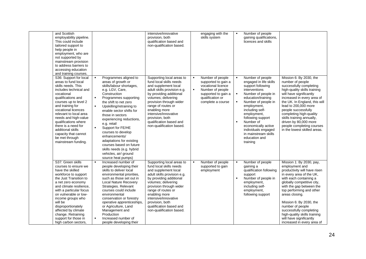| and Scottish<br>employability pipeline.<br>This could include<br>tailored support to<br>help people in<br>employment, who are<br>not supported by<br>mainstream provision<br>to address barriers to<br>accessing education<br>and training courses.                                                                                                                                          |                                                                                                                                                                                                                                                                                                                                                                                                                                                                                                                                                            | intensive/innovative<br>provision, both<br>qualification based and<br>non-qualification based.                                                                                                                                                                                                                                    |                                  | engaging with the<br>skills system                                                                                                                |                                  | Number of people<br>gaining qualifications,<br>licences and skills                                                                                                                                                                                                                                                                         |                                                                                                                                                                                                                                                                                                                                                                                                             |
|----------------------------------------------------------------------------------------------------------------------------------------------------------------------------------------------------------------------------------------------------------------------------------------------------------------------------------------------------------------------------------------------|------------------------------------------------------------------------------------------------------------------------------------------------------------------------------------------------------------------------------------------------------------------------------------------------------------------------------------------------------------------------------------------------------------------------------------------------------------------------------------------------------------------------------------------------------------|-----------------------------------------------------------------------------------------------------------------------------------------------------------------------------------------------------------------------------------------------------------------------------------------------------------------------------------|----------------------------------|---------------------------------------------------------------------------------------------------------------------------------------------------|----------------------------------|--------------------------------------------------------------------------------------------------------------------------------------------------------------------------------------------------------------------------------------------------------------------------------------------------------------------------------------------|-------------------------------------------------------------------------------------------------------------------------------------------------------------------------------------------------------------------------------------------------------------------------------------------------------------------------------------------------------------------------------------------------------------|
| S36: Support for local<br>areas to fund local<br>skills needs. This<br>includes technical and<br>vocational<br>qualifications and<br>courses up to level 2<br>and training for<br>vocational licences<br>relevant to local area<br>needs and high-value<br>qualifications where<br>there is a need for<br>additional skills<br>capacity that cannot<br>be met through<br>mainstream funding. | Programmes aligned to<br>$\blacksquare$<br>areas of growth or<br>skills/labour shortages,<br>e.g. LGV, Care,<br>Construction<br>$\blacksquare$<br>Programmes supporting<br>the shift to net zero<br>Upskilling/retraining to<br>$\blacksquare$<br>enable sector shifts for<br>those in sectors<br>experiencing reductions,<br>e.g. retail<br>$\blacksquare$<br>Support for FE/HE<br>courses to develop<br>enhancements/<br>adaptations for existing<br>courses based on future<br>skills needs (e.g. hybrid<br>vehicles, air/ ground<br>source heat pumps) | Supporting local areas to<br>fund local skills needs<br>and supplement local<br>adult skills provision e.g.<br>by providing additional<br>volumes; delivering<br>provision through wider<br>range of routes or<br>enabling more<br>intensive/innovative<br>provision, both<br>qualification based and<br>non-qualification based. | $\blacksquare$<br>$\blacksquare$ | Number of people<br>supported to gain a<br>vocational licence<br>Number of people<br>supported to gain a<br>qualification or<br>complete a course | $\blacksquare$<br>$\blacksquare$ | Number of people<br>engaged in life skills<br>support following<br>interventions<br>Number of people in<br>education/training<br>Number of people in<br>employment,<br>including self-<br>employment,<br>following support<br>Number of<br>economically active<br>individuals engaged<br>in mainstream skills<br>education and<br>training | Mission 6: By 2030, the<br>number of people<br>successfully completing<br>high-quality skills training<br>will have significantly<br>increased in every area of<br>the UK. In England, this will<br>lead to 200,000 more<br>people successfully<br>completing high-quality<br>skills training annually,<br>driven by 80,000 more<br>people completing courses<br>in the lowest skilled areas.               |
| S37: Green skills<br>courses to ensure we<br>have the skilled<br>workforce to support<br>the Just Transition to<br>a net zero economy<br>and climate resilience,<br>with a particular focus<br>on vulnerable or low-<br>income groups who<br>will be<br>disproportionately<br>affected by climate<br>change. Retraining<br>support for those in<br>high carbon sectors,                      | $\blacksquare$<br>Increased number of<br>people developing their<br>skills to deliver local<br>environmental priorities,<br>such as those set out in<br>Local Nature Recovery<br>Strategies. Relevant<br>courses could include<br>environmental<br>conservation or forestry<br>operative apprenticeships,<br>or Agriculture, Land<br>Management and<br>Production<br>$\blacksquare$<br>Increased number of<br>people developing their                                                                                                                      | Supporting local areas to<br>fund local skills needs<br>and supplement local<br>adult skills provision e.g.<br>by providing additional<br>volumes; delivering<br>provision through wider<br>range of routes or<br>enabling more<br>intensive/innovative<br>provision, both<br>qualification based and<br>non-qualification based. | $\blacksquare$                   | Number of people<br>supported to gain<br>employment                                                                                               | $\blacksquare$<br>$\blacksquare$ | Number of people<br>gaining a<br>qualification following<br>support<br>Number of people in<br>employment,<br>including self-<br>employment.<br>following support                                                                                                                                                                           | Mission 1: By 2030, pay,<br>employment and<br>productivity will have risen<br>in every area of the UK,<br>with each containing a<br>globally competitive city,<br>with the gap between the<br>top performing and other<br>areas closing.<br>Mission 6: By 2030, the<br>number of people<br>successfully completing<br>high-quality skills training<br>will have significantly<br>increased in every area of |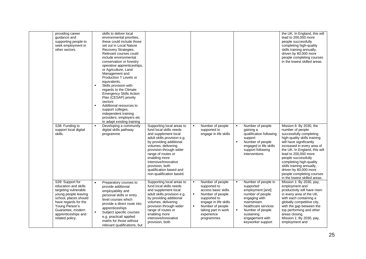| providing career<br>quidance and<br>supporting people to<br>seek employment in<br>other sectors.                                                                                                                           | skills to deliver local<br>environmental priorities,<br>these could include those<br>set out in Local Nature<br>Recovery Strategies.<br>Relevant courses could<br>include environmental<br>conservation or forestry<br>operative apprenticeships,<br>or Agriculture, Land<br>Management and<br>Production T Levels or<br>equivalents.<br>$\blacksquare$<br>Skills provision with<br>regards to the Climate<br><b>Emergency Skills Action</b><br>Plan (CESAP) priority<br>sectors<br>Additional resources to<br>$\blacksquare$<br>support colleges,<br>independent training<br>providers, employers etc<br>to adapt existing training |                                                                                                                                                                                                                                                                                                                                   |                                                                                                                                                                                                               |                                                                                                                                                                                                                                              | the UK. In England, this will<br>lead to 200,000 more<br>people successfully<br>completing high-quality<br>skills training annually,<br>driven by 80,000 more<br>people completing courses<br>in the lowest skilled areas.                                                                                                                                                                    |
|----------------------------------------------------------------------------------------------------------------------------------------------------------------------------------------------------------------------------|--------------------------------------------------------------------------------------------------------------------------------------------------------------------------------------------------------------------------------------------------------------------------------------------------------------------------------------------------------------------------------------------------------------------------------------------------------------------------------------------------------------------------------------------------------------------------------------------------------------------------------------|-----------------------------------------------------------------------------------------------------------------------------------------------------------------------------------------------------------------------------------------------------------------------------------------------------------------------------------|---------------------------------------------------------------------------------------------------------------------------------------------------------------------------------------------------------------|----------------------------------------------------------------------------------------------------------------------------------------------------------------------------------------------------------------------------------------------|-----------------------------------------------------------------------------------------------------------------------------------------------------------------------------------------------------------------------------------------------------------------------------------------------------------------------------------------------------------------------------------------------|
| S38: Funding to<br>support local digital<br>skills.                                                                                                                                                                        | $\blacksquare$<br>Developing a community<br>digital skills pathway<br>programme                                                                                                                                                                                                                                                                                                                                                                                                                                                                                                                                                      | Supporting local areas to<br>fund local skills needs<br>and supplement local<br>adult skills provision e.g.<br>by providing additional<br>volumes; delivering<br>provision through wider<br>range of routes or<br>enabling more<br>intensive/innovative<br>provision, both<br>qualification based and<br>non-qualification based. | Number of people<br>$\blacksquare$<br>supported to<br>engage in life skills                                                                                                                                   | Number of people<br>$\blacksquare$<br>gaining a<br>qualification following<br>support<br>Number of people<br>$\blacksquare$<br>engaged in life skills<br>support following<br>interventions                                                  | Mission 6: By 2030, the<br>number of people<br>successfully completing<br>high-quality skills training<br>will have significantly<br>increased in every area of<br>the UK. In England, this will<br>lead to 200,000 more<br>people successfully<br>completing high-quality<br>skills training annually,<br>driven by 80,000 more<br>people completing courses<br>in the lowest skilled areas. |
| S39: Support for<br>education and skills<br>targeting vulnerable<br>young people leaving<br>school, places should<br>have regards for the<br>Young Person's<br>Guarantee, modern<br>apprenticeships and<br>related policy. | $\bullet$<br>Preparatory courses to<br>provide additional<br>employability and<br>personal skills or entry<br>level courses which<br>provide a direct route into<br>apprenticeships<br>Subject specific courses<br>$\blacksquare$<br>e.g. practical/applied<br>maths for those without<br>relevant qualifications, but                                                                                                                                                                                                                                                                                                               | Supporting local areas to<br>fund local skills needs<br>and supplement local<br>adult skills provision e.g.<br>by providing additional<br>volumes; delivering<br>provision through wider<br>range of routes or<br>enabling more<br>intensive/innovative<br>provision, both                                                        | Number of people<br>$\blacksquare$<br>supported to<br>access basic skills<br>Number of people<br>supported to<br>engage in life skills<br>Number of people<br>taking part in work<br>experience<br>programmes | Number of people in<br>$\blacksquare$<br>supported<br>employment [and]<br>number of people<br>engaging with<br>mainstream<br>healthcare services<br>Number of people<br>$\blacksquare$<br>sustaining<br>engagement with<br>keyworker support | Mission 1: By 2030, pay,<br>employment and<br>productivity will have risen<br>in every area of the UK,<br>with each containing a<br>globally competitive city,<br>with the gap between the<br>top performing and other<br>areas closing.<br>Mission 1: By 2030, pay,<br>employment and                                                                                                        |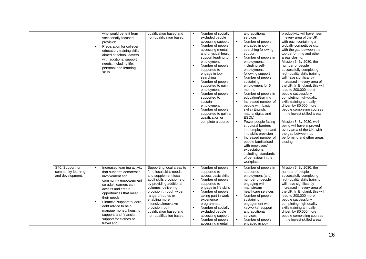|                                                            | who would benefit from<br>vocationally focused<br>provision.<br>Preparation for college/<br>$\blacksquare$<br>education/ training skills<br>aimed at school leavers<br>with additional support<br>needs, including life,<br>personal and learning<br>skills.                                                                                                    | qualification based and<br>non-qualification based.                                                                                                                                                                                                                                                                               | ٠                                | Number of socially<br>excluded people<br>accessing support<br>Number of people<br>accessing mental<br>and physical health<br>support leading to<br>employment<br>Number of people<br>supported to<br>engage in job-<br>searching<br>Number of people<br>supported to gain<br>employment<br>Number of people<br>supported to<br>sustain<br>employment<br>Number of people<br>supported to gain a<br>qualification or<br>complete a course | $\blacksquare$<br>$\blacksquare$<br>$\blacksquare$ | and additional<br>services<br>Number of people<br>engaged in job-<br>searching following<br>support<br>Number of people in<br>employment,<br>including self-<br>employment,<br>following support<br>Number of people<br>sustaining<br>employment for 6<br>months<br>Number of people in<br>education/training<br>Increased number of<br>people with basic<br>skills (English,<br>maths, digital and<br>ESOL)<br>Fewer people facing<br>structural barriers<br>into employment and<br>into skills provision<br>Increased number of<br>people familiarised<br>with employers'<br>expectations,<br>including, standards<br>of behaviour in the<br>workplace | productivity will have risen<br>in every area of the UK,<br>with each containing a<br>globally competitive city,<br>with the gap between the<br>top performing and other<br>areas closing.<br>Mission 6: By 2030, the<br>number of people<br>successfully completing<br>high-quality skills training<br>will have significantly<br>increased in every area of<br>the UK. In England, this will<br>lead to 200,000 more<br>people successfully<br>completing high-quality<br>skills training annually,<br>driven by 80,000 more<br>people completing courses<br>in the lowest skilled areas.<br>Mission 8: By 2030, well-<br>being will have improved in<br>every area of the UK, with<br>the gap between top<br>performing and other areas<br>closing. |
|------------------------------------------------------------|-----------------------------------------------------------------------------------------------------------------------------------------------------------------------------------------------------------------------------------------------------------------------------------------------------------------------------------------------------------------|-----------------------------------------------------------------------------------------------------------------------------------------------------------------------------------------------------------------------------------------------------------------------------------------------------------------------------------|----------------------------------|------------------------------------------------------------------------------------------------------------------------------------------------------------------------------------------------------------------------------------------------------------------------------------------------------------------------------------------------------------------------------------------------------------------------------------------|----------------------------------------------------|----------------------------------------------------------------------------------------------------------------------------------------------------------------------------------------------------------------------------------------------------------------------------------------------------------------------------------------------------------------------------------------------------------------------------------------------------------------------------------------------------------------------------------------------------------------------------------------------------------------------------------------------------------|--------------------------------------------------------------------------------------------------------------------------------------------------------------------------------------------------------------------------------------------------------------------------------------------------------------------------------------------------------------------------------------------------------------------------------------------------------------------------------------------------------------------------------------------------------------------------------------------------------------------------------------------------------------------------------------------------------------------------------------------------------|
| S40: Support for<br>community learning<br>and development. | Increased learning activity<br>that supports democratic<br>involvement and<br>community empowerment<br>so adult learners can<br>access and create<br>opportunities that meet<br>their needs.<br>Financial support to learn,<br>$\blacksquare$<br>debt advice to help<br>manage money, housing<br>support, and financial<br>support for clothes or<br>travel and | Supporting local areas to<br>fund local skills needs<br>and supplement local<br>adult skills provision e.g.<br>by providing additional<br>volumes; delivering<br>provision through wider<br>range of routes or<br>enabling more<br>intensive/innovative<br>provision, both<br>qualification based and<br>non-qualification based. | $\blacksquare$<br>$\blacksquare$ | Number of people<br>supported to<br>access basic skills<br>Number of people<br>supported to<br>engage in life skills<br>Number of people<br>taking part in work<br>experience<br>programmes<br>Number of socially<br>excluded people<br>accessing support<br>Number of people<br>accessing mental                                                                                                                                        | $\blacksquare$                                     | Number of people in<br>supported<br>employment [and]<br>number of people<br>engaging with<br>mainstream<br>healthcare services<br>Number of people<br>sustaining<br>engagement with<br>keyworker support<br>and additional<br>services<br>Number of people<br>engaged in job-                                                                                                                                                                                                                                                                                                                                                                            | Mission 6: By 2030, the<br>number of people<br>successfully completing<br>high-quality skills training<br>will have significantly<br>increased in every area of<br>the UK. In England, this will<br>lead to 200,000 more<br>people successfully<br>completing high-quality<br>skills training annually,<br>driven by 80,000 more<br>people completing courses<br>in the lowest skilled areas.                                                                                                                                                                                                                                                                                                                                                          |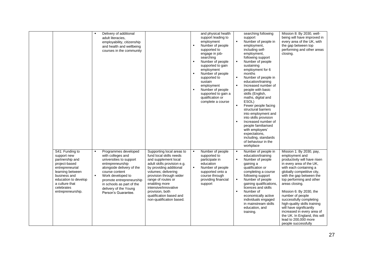|                                                                                                                                                                                                        | $\blacksquare$ | Delivery of additional<br>adult literacies.<br>employability, citizenship<br>and health and wellbeing<br>courses in the community                                                                                                                                     |                                                                                                                                                                                                                                                                                                                                   |                                  | and physical health<br>support leading to<br>employment<br>Number of people<br>supported to<br>engage in job-<br>searching<br>Number of people<br>supported to gain<br>employment<br>Number of people<br>supported to<br>sustain<br>employment<br>Number of people<br>supported to gain a<br>qualification or<br>complete a course | $\blacksquare$<br>$\blacksquare$<br>$\blacksquare$<br>$\blacksquare$<br>$\blacksquare$<br>$\blacksquare$ | searching following<br>support<br>Number of people in<br>employment,<br>including self-<br>employment,<br>following support<br>Number of people<br>sustaining<br>employment for 6<br>months<br>Number of people in<br>education/training<br>Increased number of<br>people with basic<br>skills (English,<br>maths, digital and<br>ESOL)<br>Fewer people facing<br>structural barriers<br>into employment and<br>into skills provision<br>Increased number of<br>people familiarised<br>with employers'<br>expectations,<br>including, standards<br>of behaviour in the<br>workplace | Mission 8: By 2030, well-<br>being will have improved in<br>every area of the UK, with<br>the gap between top<br>performing and other areas<br>closing.                                                                                                                                                                                                                                                                                                                                     |
|--------------------------------------------------------------------------------------------------------------------------------------------------------------------------------------------------------|----------------|-----------------------------------------------------------------------------------------------------------------------------------------------------------------------------------------------------------------------------------------------------------------------|-----------------------------------------------------------------------------------------------------------------------------------------------------------------------------------------------------------------------------------------------------------------------------------------------------------------------------------|----------------------------------|------------------------------------------------------------------------------------------------------------------------------------------------------------------------------------------------------------------------------------------------------------------------------------------------------------------------------------|----------------------------------------------------------------------------------------------------------|-------------------------------------------------------------------------------------------------------------------------------------------------------------------------------------------------------------------------------------------------------------------------------------------------------------------------------------------------------------------------------------------------------------------------------------------------------------------------------------------------------------------------------------------------------------------------------------|---------------------------------------------------------------------------------------------------------------------------------------------------------------------------------------------------------------------------------------------------------------------------------------------------------------------------------------------------------------------------------------------------------------------------------------------------------------------------------------------|
| S41: Funding to<br>support new<br>partnership and<br>project-based<br>entrepreneurial<br>learning between<br>business and<br>education to develop<br>a culture that<br>celebrates<br>entrepreneurship. | $\blacksquare$ | Programmes developed<br>with colleges and<br>universities to support<br>entrepreneurship<br>alongside delivery of the<br>course content<br>Work developed to<br>promote entrepreneurship<br>in schools as part of the<br>delivery of the Young<br>Person's Guarantee. | Supporting local areas to<br>fund local skills needs<br>and supplement local<br>adult skills provision e.g.<br>by providing additional<br>volumes; delivering<br>provision through wider<br>range of routes or<br>enabling more<br>intensive/innovative<br>provision, both<br>qualification based and<br>non-qualification based. | $\blacksquare$<br>$\blacksquare$ | Number of people<br>supported to<br>participate in<br>education<br>Number of people<br>supported onto a<br>course through<br>providing financial<br>support                                                                                                                                                                        | $\blacksquare$<br>$\blacksquare$<br>$\blacksquare$<br>$\blacksquare$                                     | Number of people in<br>education/training<br>Number of people<br>gaining a<br>qualification or<br>completing a course<br>following support<br>Number of people<br>gaining qualifications,<br>licences and skills<br>Number of<br>economically active<br>individuals engaged<br>in mainstream skills<br>education, and<br>training.                                                                                                                                                                                                                                                  | Mission 1: By 2030, pay,<br>employment and<br>productivity will have risen<br>in every area of the UK,<br>with each containing a<br>globally competitive city,<br>with the gap between the<br>top performing and other<br>areas closing.<br>Mission 6: By 2030, the<br>number of people<br>successfully completing<br>high-quality skills training<br>will have significantly<br>increased in every area of<br>the UK. In England, this will<br>lead to 200,000 more<br>people successfully |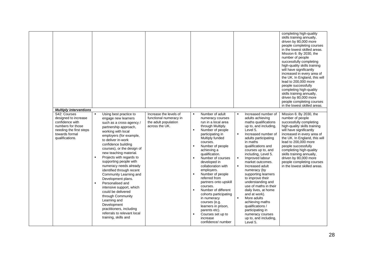| <b>Multiply interventions</b>                                                                                                                |                                                                                                                                                                                                                                                                                                                                                                                                                                                                                                                                                                                                                                                                                          |                                                                                            |                                                                                                                                                                                                                                                                                                                                                                                                                                                                                                                                                             |                                                                                                                                                                                                                                                                                                                                                                                                                                                                                                                                                                                                                                               | completing high-quality<br>skills training annually,<br>driven by 80,000 more<br>people completing courses<br>in the lowest skilled areas.<br>Mission 6: By 2030, the<br>number of people<br>successfully completing<br>high-quality skills training<br>will have significantly<br>increased in every area of<br>the UK. In England, this will<br>lead to 200,000 more<br>people successfully<br>completing high-quality<br>skills training annually,<br>driven by 80,000 more<br>people completing courses<br>in the lowest skilled areas. |
|----------------------------------------------------------------------------------------------------------------------------------------------|------------------------------------------------------------------------------------------------------------------------------------------------------------------------------------------------------------------------------------------------------------------------------------------------------------------------------------------------------------------------------------------------------------------------------------------------------------------------------------------------------------------------------------------------------------------------------------------------------------------------------------------------------------------------------------------|--------------------------------------------------------------------------------------------|-------------------------------------------------------------------------------------------------------------------------------------------------------------------------------------------------------------------------------------------------------------------------------------------------------------------------------------------------------------------------------------------------------------------------------------------------------------------------------------------------------------------------------------------------------------|-----------------------------------------------------------------------------------------------------------------------------------------------------------------------------------------------------------------------------------------------------------------------------------------------------------------------------------------------------------------------------------------------------------------------------------------------------------------------------------------------------------------------------------------------------------------------------------------------------------------------------------------------|---------------------------------------------------------------------------------------------------------------------------------------------------------------------------------------------------------------------------------------------------------------------------------------------------------------------------------------------------------------------------------------------------------------------------------------------------------------------------------------------------------------------------------------------|
| S42: Courses<br>designed to increase<br>confidence with<br>numbers for those<br>needing the first steps<br>towards formal<br>qualifications. | $\blacksquare$<br>Using best practice to<br>engage new learners<br>such as a cross-agency /<br>partnership approach,<br>working with local<br>employers (for example,<br>to deliver in-work<br>confidence building<br>courses), or the design of<br>new teaching material.<br>Projects with regards to<br>$\blacksquare$<br>supporting people with<br>numeracy needs already<br>identified through recent<br>Community Learning and<br>Development plans.<br>Personalised and<br>$\blacksquare$<br>intensive support, which<br>could be delivered<br>through Community<br>Learning and<br>Development<br>practitioners, including<br>referrals to relevant local<br>training, skills and | Increase the levels of<br>functional numeracy in<br>the adult population<br>across the UK. | Number of adult<br>$\blacksquare$<br>numeracy courses<br>run in a local area<br>through Multiply.<br>Number of people<br>participating in<br>Multiply funded<br>courses.<br>Number of people<br>achieving a<br>qualification.<br>Number of courses<br>developed in<br>collaboration with<br>employers.<br>Number of people<br>referred from<br>partners onto upskill<br>courses.<br>Number of different<br>$\blacksquare$<br>cohorts participating<br>in numeracy<br>courses (e.g.<br>learners in prison,<br>parents etc).<br>Courses set up to<br>increase | Increased number of<br>$\blacksquare$<br>adults achieving<br>maths qualifications<br>up to, and including,<br>Level 5.<br>Increased number of<br>$\blacksquare$<br>adults participating<br>in maths<br>qualifications and<br>courses up to, and<br>including, Level 5.<br>Improved labour<br>market outcomes.<br>Increased adult<br>$\blacksquare$<br>numeracy (by<br>supporting learners<br>to improve their<br>understanding and<br>use of maths in their<br>daily lives, at home<br>and at work).<br>More adults<br>$\blacksquare$<br>achieving maths<br>qualifications /<br>participating in<br>numeracy courses<br>up to, and including, | Mission 6: By 2030, the<br>number of people<br>successfully completing<br>high-quality skills training<br>will have significantly<br>increased in every area of<br>the UK. In England, this will<br>lead to 200,000 more<br>people successfully<br>completing high-quality<br>skills training annually,<br>driven by 80,000 more<br>people completing courses<br>in the lowest skilled areas.                                                                                                                                               |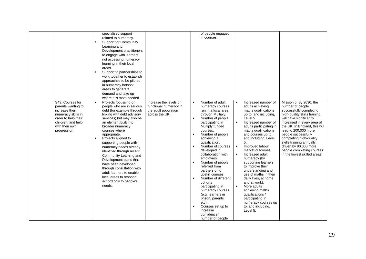|                                                                                                                                                               | $\blacksquare$<br>$\blacksquare$ | specialised support<br>related to numeracy.<br><b>Support for Community</b><br>Learning and<br>Development practitioners<br>to engage with learners<br>not accessing numeracy<br>learning in their local<br>areas.<br>Support to partnerships to<br>work together to establish<br>approaches to be piloted<br>in numeracy hotspot<br>areas to generate<br>demand and take up<br>where it is most needed                                                                                                                             |                                                                                            |                                                    | of people engaged<br>in courses.                                                                                                                                                                                                                                                                                                                                                                                                                                                                                                                              |                                                                      |                                                                                                                                                                                                                                                                                                                                                                                                                                                                                                                                                                                   |                                                                                                                                                                                                                                                                                                                                                                                               |
|---------------------------------------------------------------------------------------------------------------------------------------------------------------|----------------------------------|-------------------------------------------------------------------------------------------------------------------------------------------------------------------------------------------------------------------------------------------------------------------------------------------------------------------------------------------------------------------------------------------------------------------------------------------------------------------------------------------------------------------------------------|--------------------------------------------------------------------------------------------|----------------------------------------------------|---------------------------------------------------------------------------------------------------------------------------------------------------------------------------------------------------------------------------------------------------------------------------------------------------------------------------------------------------------------------------------------------------------------------------------------------------------------------------------------------------------------------------------------------------------------|----------------------------------------------------------------------|-----------------------------------------------------------------------------------------------------------------------------------------------------------------------------------------------------------------------------------------------------------------------------------------------------------------------------------------------------------------------------------------------------------------------------------------------------------------------------------------------------------------------------------------------------------------------------------|-----------------------------------------------------------------------------------------------------------------------------------------------------------------------------------------------------------------------------------------------------------------------------------------------------------------------------------------------------------------------------------------------|
| S43: Courses for<br>parents wanting to<br>increase their<br>numeracy skills in<br>order to help their<br>children, and help<br>with their own<br>progression. | $\blacksquare$<br>$\blacksquare$ | Projects focussing on<br>people who are in serious<br>debt (for example through<br>linking with debt advisory<br>services) but may also be<br>an element built into<br>broader numeracy<br>courses where<br>appropriate.<br>Projects aligned to<br>supporting people with<br>numeracy needs already<br>identified through recent<br>Community Learning and<br>Development plans that<br>have been developed<br>through consultation with<br>adult learners to enable<br>local areas to respond<br>accordingly to people's<br>needs. | Increase the levels of<br>functional numeracy in<br>the adult population<br>across the UK. | $\blacksquare$<br>$\blacksquare$<br>$\blacksquare$ | Number of adult<br>numeracy courses<br>run in a local area<br>through Multiply.<br>Number of people<br>participating in<br>Multiply funded<br>courses.<br>Number of people<br>achieving a<br>qualification.<br>Number of courses<br>developed in<br>collaboration with<br>employers.<br>Number of people<br>referred from<br>partners onto<br>upskill courses.<br>Number of different<br>cohorts<br>participating in<br>numeracy courses<br>(e.g. learners in<br>prison, parents<br>etc).<br>Courses set up to<br>increase<br>confidence/<br>number of people | $\blacksquare$<br>$\blacksquare$<br>$\blacksquare$<br>$\blacksquare$ | Increased number of<br>adults achieving<br>maths qualifications<br>up to, and including,<br>Level 5.<br>Increased number of<br>adults participating in<br>maths qualifications<br>and courses up to,<br>and including, Level<br>5.<br>Improved labour<br>market outcomes.<br>Increased adult<br>numeracy (by<br>supporting learners<br>to improve their<br>understanding and<br>use of maths in their<br>daily lives, at home<br>and at work).<br>More adults<br>achieving maths<br>qualifications /<br>participating in<br>numeracy courses up<br>to, and including,<br>Level 5. | Mission 6: By 2030, the<br>number of people<br>successfully completing<br>high-quality skills training<br>will have significantly<br>increased in every area of<br>the UK. In England, this will<br>lead to 200,000 more<br>people successfully<br>completing high-quality<br>skills training annually,<br>driven by 80,000 more<br>people completing courses<br>in the lowest skilled areas. |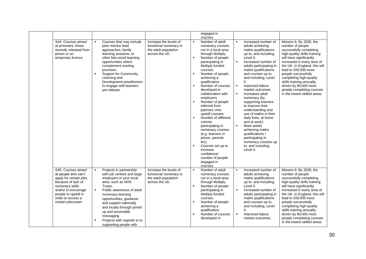|                                                                                                                                                                                                         |                                                                                                                                                                                                                                                                                                                                                                                                        |                                                                                            | engaged in<br>courses.                                                                                                                                                                                                                                                                                                                                                                                                                                                                                                                                                                                                                                          |                                                                                                                                                                                                                                                                                                                                                                                                                                                                                                                                                                                                                                                           |                                                                                                                                                                                                                                                                                                                                                                                               |
|---------------------------------------------------------------------------------------------------------------------------------------------------------------------------------------------------------|--------------------------------------------------------------------------------------------------------------------------------------------------------------------------------------------------------------------------------------------------------------------------------------------------------------------------------------------------------------------------------------------------------|--------------------------------------------------------------------------------------------|-----------------------------------------------------------------------------------------------------------------------------------------------------------------------------------------------------------------------------------------------------------------------------------------------------------------------------------------------------------------------------------------------------------------------------------------------------------------------------------------------------------------------------------------------------------------------------------------------------------------------------------------------------------------|-----------------------------------------------------------------------------------------------------------------------------------------------------------------------------------------------------------------------------------------------------------------------------------------------------------------------------------------------------------------------------------------------------------------------------------------------------------------------------------------------------------------------------------------------------------------------------------------------------------------------------------------------------------|-----------------------------------------------------------------------------------------------------------------------------------------------------------------------------------------------------------------------------------------------------------------------------------------------------------------------------------------------------------------------------------------------|
| S44: Courses aimed<br>at prisoners, those<br>recently released from<br>prison or on<br>temporary licence.                                                                                               | Courses that may include<br>$\blacksquare$<br>peer-mentor lead<br>approaches; family<br>learning sessions; or<br>other bite-sized learning<br>opportunities which<br>complement existing<br>provision.<br>Support for Community<br>$\blacksquare$<br>Learning and<br>Development practitioners<br>to engage with learners<br>pre-release.                                                              | Increase the levels of<br>functional numeracy in<br>the adult population<br>across the UK. | Number of adult<br>$\blacksquare$<br>numeracy courses<br>run in a local area<br>through Multiply.<br>Number of people<br>$\blacksquare$<br>participating in<br>Multiply funded<br>courses.<br>Number of people<br>$\blacksquare$<br>achieving a<br>qualification.<br>Number of courses<br>developed in<br>collaboration with<br>employers.<br>Number of people<br>referred from<br>partners onto<br>upskill courses.<br>Number of different<br>$\blacksquare$<br>cohorts<br>participating in<br>numeracy courses<br>(e.g. learners in<br>prison, parents<br>etc).<br>Courses set up to<br>increase<br>confidence/<br>number of people<br>engaged in<br>courses. | Increased number of<br>adults achieving<br>maths qualifications<br>up to, and including,<br>Level 5.<br>$\blacksquare$<br>Increased number of<br>adults participating in<br>maths qualifications<br>and courses up to,<br>and including, Level<br>5.<br>$\blacksquare$<br>Improved labour<br>market outcomes.<br>$\blacksquare$<br>Increased adult<br>numeracy (by<br>supporting learners<br>to improve their<br>understanding and<br>use of maths in their<br>daily lives, at home<br>and at work).<br>$\blacksquare$<br>More adults<br>achieving maths<br>qualifications /<br>participating in<br>numeracy courses up<br>to, and including,<br>Level 5. | Mission 6: By 2030, the<br>number of people<br>successfully completing<br>high-quality skills training<br>will have significantly<br>increased in every area of<br>the UK. In England, this will<br>lead to 200,000 more<br>people successfully<br>completing high-quality<br>skills training annually,<br>driven by 80,000 more<br>people completing courses<br>in the lowest skilled areas. |
| S45: Courses aimed<br>at people who can't<br>apply for certain jobs<br>because of lack of<br>numeracy skills<br>and/or to encourage<br>people to upskill in<br>order to access a<br>certain job/career. | Projects in partnership<br>$\blacksquare$<br>with job centres and large<br>employers in your local<br>area, such as NHS<br>Trusts.<br>$\blacksquare$<br>Public awareness of adult<br>numeracy learning<br>opportunities, guidance<br>and support nationally<br>and locally through joined<br>up and accessible<br>messaging<br>Projects with regards to to<br>$\blacksquare$<br>supporting people with | Increase the levels of<br>functional numeracy in<br>the adult population<br>across the UK. | Number of adult<br>$\blacksquare$<br>numeracy courses<br>run in a local area<br>through Multiply.<br>Number of people<br>$\blacksquare$<br>participating in<br>Multiply funded<br>courses.<br>Number of people<br>$\blacksquare$<br>achieving a<br>qualification.<br>Number of courses<br>developed in                                                                                                                                                                                                                                                                                                                                                          | Increased number of<br>adults achieving<br>maths qualifications<br>up to, and including,<br>Level 5.<br>$\blacksquare$<br>Increased number of<br>adults participating in<br>maths qualifications<br>and courses up to,<br>and including, Level<br>5.<br>Improved labour<br>$\blacksquare$<br>market outcomes.                                                                                                                                                                                                                                                                                                                                             | Mission 6: By 2030, the<br>number of people<br>successfully completing<br>high-quality skills training<br>will have significantly<br>increased in every area of<br>the UK. In England, this will<br>lead to 200,000 more<br>people successfully<br>completing high-quality<br>skills training annually,<br>driven by 80,000 more<br>people completing courses<br>in the lowest skilled areas. |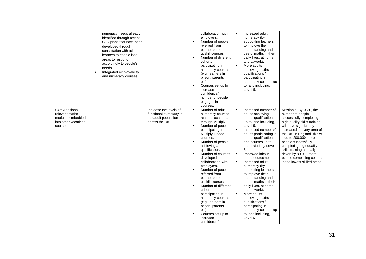|                                                                                            | numeracy needs already<br>identified through recent<br>CLD plans that have been<br>developed through<br>consultation with adult<br>learners to enable local<br>areas to respond<br>accordingly to people's<br>needs.<br>Integrated employability<br>$\blacksquare$<br>and numeracy courses |                                                                                            |                | collaboration with<br>employers.<br>Number of people<br>referred from<br>partners onto<br>upskill courses.<br>Number of different<br>cohorts<br>participating in<br>numeracy courses<br>(e.g. learners in<br>prison, parents<br>etc).<br>Courses set up to<br>increase<br>confidence/<br>number of people<br>engaged in<br>courses.                                                                                                                                                                                                       | $\blacksquare$                                                                         | Increased adult<br>numeracy (by<br>supporting learners<br>to improve their<br>understanding and<br>use of maths in their<br>daily lives, at home<br>and at work).<br>More adults<br>achieving maths<br>qualifications /<br>participating in<br>numeracy courses up<br>to, and including.<br>Level 5.                                                                                                                                                                                                                                                                             |                                                                                                                                                                                                                                                                                                                                                                                               |
|--------------------------------------------------------------------------------------------|--------------------------------------------------------------------------------------------------------------------------------------------------------------------------------------------------------------------------------------------------------------------------------------------|--------------------------------------------------------------------------------------------|----------------|-------------------------------------------------------------------------------------------------------------------------------------------------------------------------------------------------------------------------------------------------------------------------------------------------------------------------------------------------------------------------------------------------------------------------------------------------------------------------------------------------------------------------------------------|----------------------------------------------------------------------------------------|----------------------------------------------------------------------------------------------------------------------------------------------------------------------------------------------------------------------------------------------------------------------------------------------------------------------------------------------------------------------------------------------------------------------------------------------------------------------------------------------------------------------------------------------------------------------------------|-----------------------------------------------------------------------------------------------------------------------------------------------------------------------------------------------------------------------------------------------------------------------------------------------------------------------------------------------------------------------------------------------|
| S46: Additional<br>relevant maths<br>modules embedded<br>into other vocational<br>courses. |                                                                                                                                                                                                                                                                                            | Increase the levels of<br>functional numeracy in<br>the adult population<br>across the UK. | $\blacksquare$ | Number of adult<br>numeracy courses<br>run in a local area<br>through Multiply.<br>Number of people<br>participating in<br>Multiply funded<br>courses.<br>Number of people<br>achieving a<br>qualification.<br>Number of courses<br>developed in<br>collaboration with<br>employers.<br>Number of people<br>referred from<br>partners onto<br>upskill courses.<br>Number of different<br>cohorts<br>participating in<br>numeracy courses<br>(e.g. learners in<br>prison, parents<br>etc).<br>Courses set up to<br>increase<br>confidence/ | $\blacksquare$<br>$\blacksquare$<br>$\blacksquare$<br>$\blacksquare$<br>$\blacksquare$ | Increased number of<br>adults achieving<br>maths qualifications<br>up to, and including,<br>Level 5.<br>Increased number of<br>adults participating in<br>maths qualifications<br>and courses up to,<br>and including, Level<br>5.<br>Improved labour<br>market outcomes.<br>Increased adult<br>numeracy (by<br>supporting learners<br>to improve their<br>understanding and<br>use of maths in their<br>daily lives, at home<br>and at work).<br>More adults<br>achieving maths<br>qualifications /<br>participating in<br>numeracy courses up<br>to, and including,<br>Level 5 | Mission 6: By 2030, the<br>number of people<br>successfully completing<br>high-quality skills training<br>will have significantly<br>increased in every area of<br>the UK. In England, this will<br>lead to 200,000 more<br>people successfully<br>completing high-quality<br>skills training annually,<br>driven by 80,000 more<br>people completing courses<br>in the lowest skilled areas. |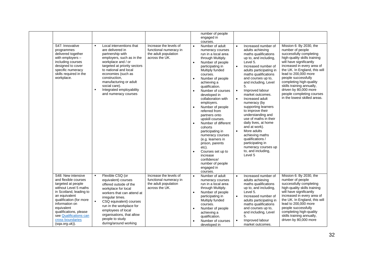|                                                                                                                                                                                                                                                                                            |                                                                                                                                                                                                                                                                                                                                      |                                                                                            | number of people<br>engaged in<br>courses.                                                                                                                                                                                                                                                                                                                                                                                                                                                                                                                                                                        |                                                                                                                                                                                                                                                                                                                                                                                                                                                                                                                                                                                                                                      |                                                                                                                                                                                                                                                                                                                                                                                               |
|--------------------------------------------------------------------------------------------------------------------------------------------------------------------------------------------------------------------------------------------------------------------------------------------|--------------------------------------------------------------------------------------------------------------------------------------------------------------------------------------------------------------------------------------------------------------------------------------------------------------------------------------|--------------------------------------------------------------------------------------------|-------------------------------------------------------------------------------------------------------------------------------------------------------------------------------------------------------------------------------------------------------------------------------------------------------------------------------------------------------------------------------------------------------------------------------------------------------------------------------------------------------------------------------------------------------------------------------------------------------------------|--------------------------------------------------------------------------------------------------------------------------------------------------------------------------------------------------------------------------------------------------------------------------------------------------------------------------------------------------------------------------------------------------------------------------------------------------------------------------------------------------------------------------------------------------------------------------------------------------------------------------------------|-----------------------------------------------------------------------------------------------------------------------------------------------------------------------------------------------------------------------------------------------------------------------------------------------------------------------------------------------------------------------------------------------|
| S47: Innovative<br>programmes<br>delivered together<br>with employers -<br>including courses<br>designed to cover<br>specific numeracy<br>skills required in the<br>workplace.                                                                                                             | Local interventions that<br>are delivered in<br>partnership with<br>employers, such as in the<br>workplace and / or<br>targeted at priority sectors<br>to national and local<br>economies (such as<br>construction.<br>manufacturing or adult<br>social care).<br>Integrated employability<br>$\blacksquare$<br>and numeracy courses | Increase the levels of<br>functional numeracy in<br>the adult population<br>across the UK. | Number of adult<br>$\bullet$<br>numeracy courses<br>run in a local area<br>through Multiply.<br>Number of people<br>participating in<br>Multiply funded<br>courses.<br>Number of people<br>achieving a<br>qualification.<br>Number of courses<br>developed in<br>collaboration with<br>employers.<br>Number of people<br>referred from<br>partners onto<br>upskill courses.<br>Number of different<br>$\bullet$<br>cohorts<br>participating in<br>numeracy courses<br>(e.g. learners in<br>prison, parents<br>etc).<br>Courses set up to<br>increase<br>confidence/<br>number of people<br>engaged in<br>courses. | Increased number of<br>adults achieving<br>maths qualifications<br>up to, and including,<br>Level 5.<br>Increased number of<br>$\bullet$<br>adults participating in<br>maths qualifications<br>and courses up to,<br>and including, Level<br>5.<br>Improved labour<br>$\bullet$<br>market outcomes.<br>Increased adult<br>$\bullet$<br>numeracy (by<br>supporting learners<br>to improve their<br>understanding and<br>use of maths in their<br>daily lives, at home<br>and at work).<br>More adults<br>$\bullet$<br>achieving maths<br>qualifications /<br>participating in<br>numeracy courses up<br>to, and including,<br>Level 5 | Mission 6: By 2030, the<br>number of people<br>successfully completing<br>high-quality skills training<br>will have significantly<br>increased in every area of<br>the UK. In England, this will<br>lead to 200,000 more<br>people successfully<br>completing high-quality<br>skills training annually,<br>driven by 80,000 more<br>people completing courses<br>in the lowest skilled areas. |
| S48: New intensive<br>and flexible courses<br>targeted at people<br>without Level 5 maths<br>in Scotland, leading to<br>an equivalent<br>qualification (for more<br>information on<br>equivalent<br>qualifications, please<br>see Qualifications can<br>cross boundaries<br>(sqa.org.uk)). | Flexible CSQ (or<br>$\blacksquare$<br>equivalent) courses<br>offered outside of the<br>workplace for local<br>workers that can attend at<br>irregular times.<br>$\blacksquare$<br>CSQ equivalent) courses<br>run in the workplace for<br>employees of local<br>organisations, that allow<br>people to study<br>during/around working | Increase the levels of<br>functional numeracy in<br>the adult population<br>across the UK. | Number of adult<br>$\bullet$<br>numeracy courses<br>run in a local area<br>through Multiply.<br>Number of people<br>$\bullet$<br>participating in<br>Multiply funded<br>courses.<br>Number of people<br>achieving a<br>qualification.<br>Number of courses<br>developed in                                                                                                                                                                                                                                                                                                                                        | Increased number of<br>$\bullet$<br>adults achieving<br>maths qualifications<br>up to, and including,<br>Level 5.<br>Increased number of<br>$\bullet$<br>adults participating in<br>maths qualifications<br>and courses up to,<br>and including, Level<br>5.<br>Improved labour<br>$\bullet$<br>market outcomes.                                                                                                                                                                                                                                                                                                                     | Mission 6: By 2030, the<br>number of people<br>successfully completing<br>high-quality skills training<br>will have significantly<br>increased in every area of<br>the UK. In England, this will<br>lead to 200,000 more<br>people successfully<br>completing high-quality<br>skills training annually,<br>driven by 80,000 more                                                              |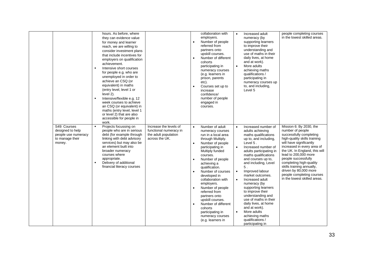|                                                                                      | $\blacksquare$<br>$\blacksquare$ | hours. As before, where<br>they can evidence value<br>for money and learner<br>reach, we are willing to<br>consider investment plans<br>that include incentives for<br>employers on qualification<br>achievement.<br>Intensive short courses<br>for people e.g. who are<br>unemployed in order to<br>achieve an CSQ (or<br>equivalent) in maths<br>(entry level, level 1 or<br>level 2).<br>Intensive/flexible e.g. 12<br>week courses to achieve<br>an CSQ (or equivalent) in<br>maths (entry level, level 1<br>or level 2) that are also<br>accessible for people in<br>work. |                                                                                            | $\bullet$<br>$\bullet$                           | collaboration with<br>employers.<br>Number of people<br>referred from<br>partners onto<br>upskill courses.<br>Number of different<br>cohorts<br>participating in<br>numeracy courses<br>(e.g. learners in<br>prison, parents<br>etc).<br>Courses set up to<br>increase<br>confidence/<br>number of people<br>engaged in<br>courses.                                                                                                                           | $\bullet$<br>$\bullet$                                        | Increased adult<br>numeracy (by<br>supporting learners<br>to improve their<br>understanding and<br>use of maths in their<br>daily lives, at home<br>and at work).<br>More adults<br>achieving maths<br>qualifications /<br>participating in<br>numeracy courses up<br>to, and including.<br>Level 5                                                                                                                                                                                                                      | people completing courses<br>in the lowest skilled areas.                                                                                                                                                                                                                                                                                                                                     |
|--------------------------------------------------------------------------------------|----------------------------------|---------------------------------------------------------------------------------------------------------------------------------------------------------------------------------------------------------------------------------------------------------------------------------------------------------------------------------------------------------------------------------------------------------------------------------------------------------------------------------------------------------------------------------------------------------------------------------|--------------------------------------------------------------------------------------------|--------------------------------------------------|---------------------------------------------------------------------------------------------------------------------------------------------------------------------------------------------------------------------------------------------------------------------------------------------------------------------------------------------------------------------------------------------------------------------------------------------------------------|---------------------------------------------------------------|--------------------------------------------------------------------------------------------------------------------------------------------------------------------------------------------------------------------------------------------------------------------------------------------------------------------------------------------------------------------------------------------------------------------------------------------------------------------------------------------------------------------------|-----------------------------------------------------------------------------------------------------------------------------------------------------------------------------------------------------------------------------------------------------------------------------------------------------------------------------------------------------------------------------------------------|
| S49: Courses<br>designed to help<br>people use numeracy<br>to manage their<br>money. | $\blacksquare$<br>$\blacksquare$ | Projects focussing on<br>people who are in serious<br>debt (for example through<br>linking with debt advisory<br>services) but may also be<br>an element built into<br>broader numeracy<br>courses where<br>appropriate.<br>Delivery of additional<br>financial literacy courses                                                                                                                                                                                                                                                                                                | Increase the levels of<br>functional numeracy in<br>the adult population<br>across the UK. | $\bullet$<br>$\bullet$<br>$\bullet$<br>$\bullet$ | Number of adult<br>numeracy courses<br>run in a local area<br>through Multiply.<br>Number of people<br>participating in<br>Multiply funded<br>courses.<br>Number of people<br>achieving a<br>qualification.<br>Number of courses<br>developed in<br>collaboration with<br>employers.<br>Number of people<br>referred from<br>partners onto<br>upskill courses.<br>Number of different<br>cohorts<br>participating in<br>numeracy courses<br>(e.g. learners in | $\bullet$<br>$\bullet$<br>$\bullet$<br>$\bullet$<br>$\bullet$ | Increased number of<br>adults achieving<br>maths qualifications<br>up to, and including,<br>Level 5.<br>Increased number of<br>adults participating in<br>maths qualifications<br>and courses up to,<br>and including, Level<br>5.<br>Improved labour<br>market outcomes.<br>Increased adult<br>numeracy (by<br>supporting learners<br>to improve their<br>understanding and<br>use of maths in their<br>daily lives, at home<br>and at work).<br>More adults<br>achieving maths<br>qualifications /<br>participating in | Mission 6: By 2030, the<br>number of people<br>successfully completing<br>high-quality skills training<br>will have significantly<br>increased in every area of<br>the UK. In England, this will<br>lead to 200,000 more<br>people successfully<br>completing high-quality<br>skills training annually,<br>driven by 80,000 more<br>people completing courses<br>in the lowest skilled areas. |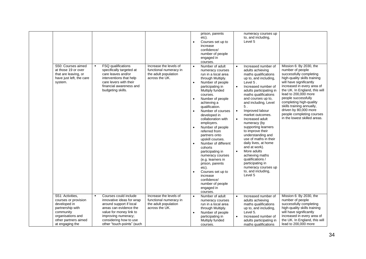| S50: Courses aimed<br>at those 19 or over<br>that are leaving, or<br>have just left, the care<br>system.                                                  | $\blacksquare$ | FSQ qualifications<br>specifically targeted at<br>care leaves and/or<br>interventions that help<br>care levers with their<br>financial awareness and<br>budgeting skills.                                         | Increase the levels of<br>functional numeracy in<br>the adult population<br>across the UK. | $\bullet$<br>$\bullet$<br>$\bullet$<br>$\bullet$ | prison, parents<br>etc).<br>Courses set up to<br>increase<br>confidence/<br>number of people<br>engaged in<br>courses.<br>Number of adult<br>numeracy courses<br>run in a local area<br>through Multiply.<br>Number of people<br>participating in<br>Multiply funded<br>courses.<br>Number of people<br>achieving a<br>qualification.<br>Number of courses<br>developed in<br>collaboration with<br>employers.<br>Number of people<br>referred from<br>partners onto<br>upskill courses.<br>Number of different<br>cohorts<br>participating in | $\bullet$<br>$\bullet$<br>$\bullet$<br>$\bullet$ | numeracy courses up<br>to, and including,<br>Level 5<br>Increased number of<br>adults achieving<br>maths qualifications<br>up to, and including,<br>Level 5.<br>Increased number of<br>adults participating in<br>maths qualifications<br>and courses up to,<br>and including, Level<br>5.<br>Improved labour<br>market outcomes.<br>Increased adult<br>numeracy (by<br>supporting learners<br>to improve their<br>understanding and<br>use of maths in their<br>daily lives, at home<br>and at work).<br>More adults | Mission 6: By 2030, the<br>number of people<br>successfully completing<br>high-quality skills training<br>will have significantly<br>increased in every area of<br>the UK. In England, this will<br>lead to 200,000 more<br>people successfully<br>completing high-quality<br>skills training annually,<br>driven by 80,000 more<br>people completing courses<br>in the lowest skilled areas. |
|-----------------------------------------------------------------------------------------------------------------------------------------------------------|----------------|-------------------------------------------------------------------------------------------------------------------------------------------------------------------------------------------------------------------|--------------------------------------------------------------------------------------------|--------------------------------------------------|------------------------------------------------------------------------------------------------------------------------------------------------------------------------------------------------------------------------------------------------------------------------------------------------------------------------------------------------------------------------------------------------------------------------------------------------------------------------------------------------------------------------------------------------|--------------------------------------------------|-----------------------------------------------------------------------------------------------------------------------------------------------------------------------------------------------------------------------------------------------------------------------------------------------------------------------------------------------------------------------------------------------------------------------------------------------------------------------------------------------------------------------|-----------------------------------------------------------------------------------------------------------------------------------------------------------------------------------------------------------------------------------------------------------------------------------------------------------------------------------------------------------------------------------------------|
|                                                                                                                                                           |                |                                                                                                                                                                                                                   |                                                                                            | $\bullet$                                        | numeracy courses<br>(e.g. learners in<br>prison, parents<br>etc).<br>Courses set up to<br>increase<br>confidence/<br>number of people<br>engaged in<br>courses.                                                                                                                                                                                                                                                                                                                                                                                |                                                  | achieving maths<br>qualifications /<br>participating in<br>numeracy courses up<br>to, and including,<br>Level 5                                                                                                                                                                                                                                                                                                                                                                                                       |                                                                                                                                                                                                                                                                                                                                                                                               |
| S51: Activities.<br>courses or provision<br>developed in<br>partnership with<br>community<br>organisations and<br>other partners aimed<br>at engaging the | $\blacksquare$ | Courses could include<br>innovative ideas for wrap<br>around support if local<br>areas can evidence the<br>value for money link to<br>improving numeracy;<br>considering how to use<br>other "touch-points" (such | Increase the levels of<br>functional numeracy in<br>the adult population<br>across the UK. | $\bullet$<br>$\bullet$                           | Number of adult<br>numeracy courses<br>run in a local area<br>through Multiply.<br>Number of people<br>participating in<br>Multiply funded<br>courses.                                                                                                                                                                                                                                                                                                                                                                                         | $\bullet$<br>$\bullet$                           | Increased number of<br>adults achieving<br>maths qualifications<br>up to, and including,<br>Level 5.<br>Increased number of<br>adults participating in<br>maths qualifications                                                                                                                                                                                                                                                                                                                                        | Mission 6: By 2030, the<br>number of people<br>successfully completing<br>high-quality skills training<br>will have significantly<br>increased in every area of<br>the UK. In England, this will<br>lead to 200,000 more                                                                                                                                                                      |